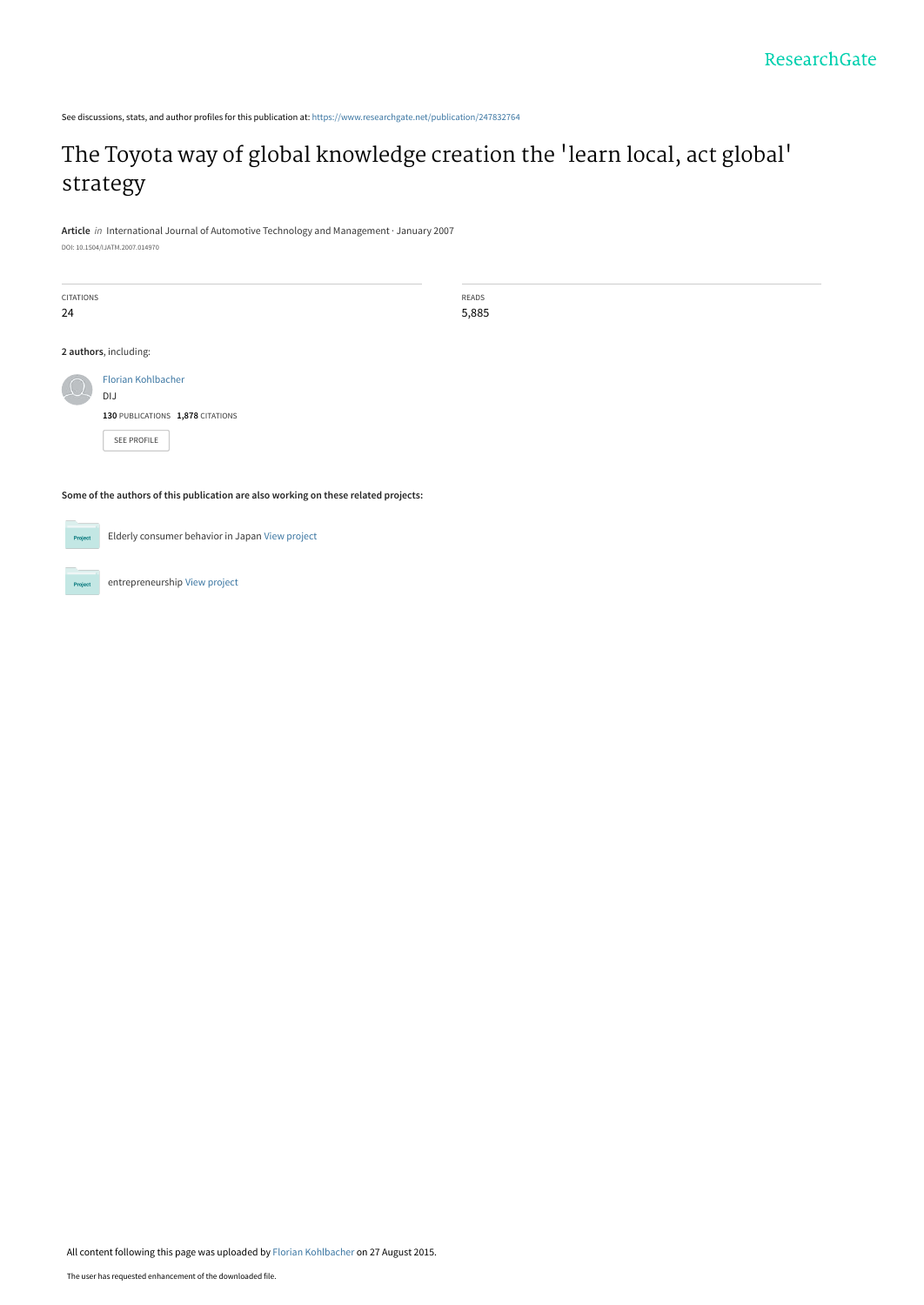See discussions, stats, and author profiles for this publication at: [https://www.researchgate.net/publication/247832764](https://www.researchgate.net/publication/247832764_The_Toyota_way_of_global_knowledge_creation_the_%27learn_local_act_global%27_strategy?enrichId=rgreq-ee69d42cc867feefdb12cc8de1f7da50-XXX&enrichSource=Y292ZXJQYWdlOzI0NzgzMjc2NDtBUzoyNjY4OTI0MTM3NjM1ODhAMTQ0MDY0MzUxOTAyOQ%3D%3D&el=1_x_2&_esc=publicationCoverPdf)

# [The Toyota way of global knowledge creation the](https://www.researchgate.net/publication/247832764_The_Toyota_way_of_global_knowledge_creation_the_%27learn_local_act_global%27_strategy?enrichId=rgreq-ee69d42cc867feefdb12cc8de1f7da50-XXX&enrichSource=Y292ZXJQYWdlOzI0NzgzMjc2NDtBUzoyNjY4OTI0MTM3NjM1ODhAMTQ0MDY0MzUxOTAyOQ%3D%3D&el=1_x_3&_esc=publicationCoverPdf) 'learn local, act global' strategy

**Article** in International Journal of Automotive Technology and Management · January 2007 DOI: 10.1504/IJATM.2007.014970

| CITATIONS                                                                           | READS |
|-------------------------------------------------------------------------------------|-------|
|                                                                                     | 5,885 |
|                                                                                     |       |
| 2 authors, including:                                                               |       |
| <b>Florian Kohlbacher</b>                                                           |       |
| DIJ                                                                                 |       |
| 130 PUBLICATIONS 1,878 CITATIONS                                                    |       |
| SEE PROFILE                                                                         |       |
|                                                                                     |       |
| Some of the authors of this publication are also working on these related projects: |       |
|                                                                                     |       |

Elderly consumer behavior in Japan [View project](https://www.researchgate.net/project/Elderly-consumer-behavior-in-Japan?enrichId=rgreq-ee69d42cc867feefdb12cc8de1f7da50-XXX&enrichSource=Y292ZXJQYWdlOzI0NzgzMjc2NDtBUzoyNjY4OTI0MTM3NjM1ODhAMTQ0MDY0MzUxOTAyOQ%3D%3D&el=1_x_9&_esc=publicationCoverPdf) Proj

entrepreneurship [View project](https://www.researchgate.net/project/entrepreneurship-73?enrichId=rgreq-ee69d42cc867feefdb12cc8de1f7da50-XXX&enrichSource=Y292ZXJQYWdlOzI0NzgzMjc2NDtBUzoyNjY4OTI0MTM3NjM1ODhAMTQ0MDY0MzUxOTAyOQ%3D%3D&el=1_x_9&_esc=publicationCoverPdf)

Proj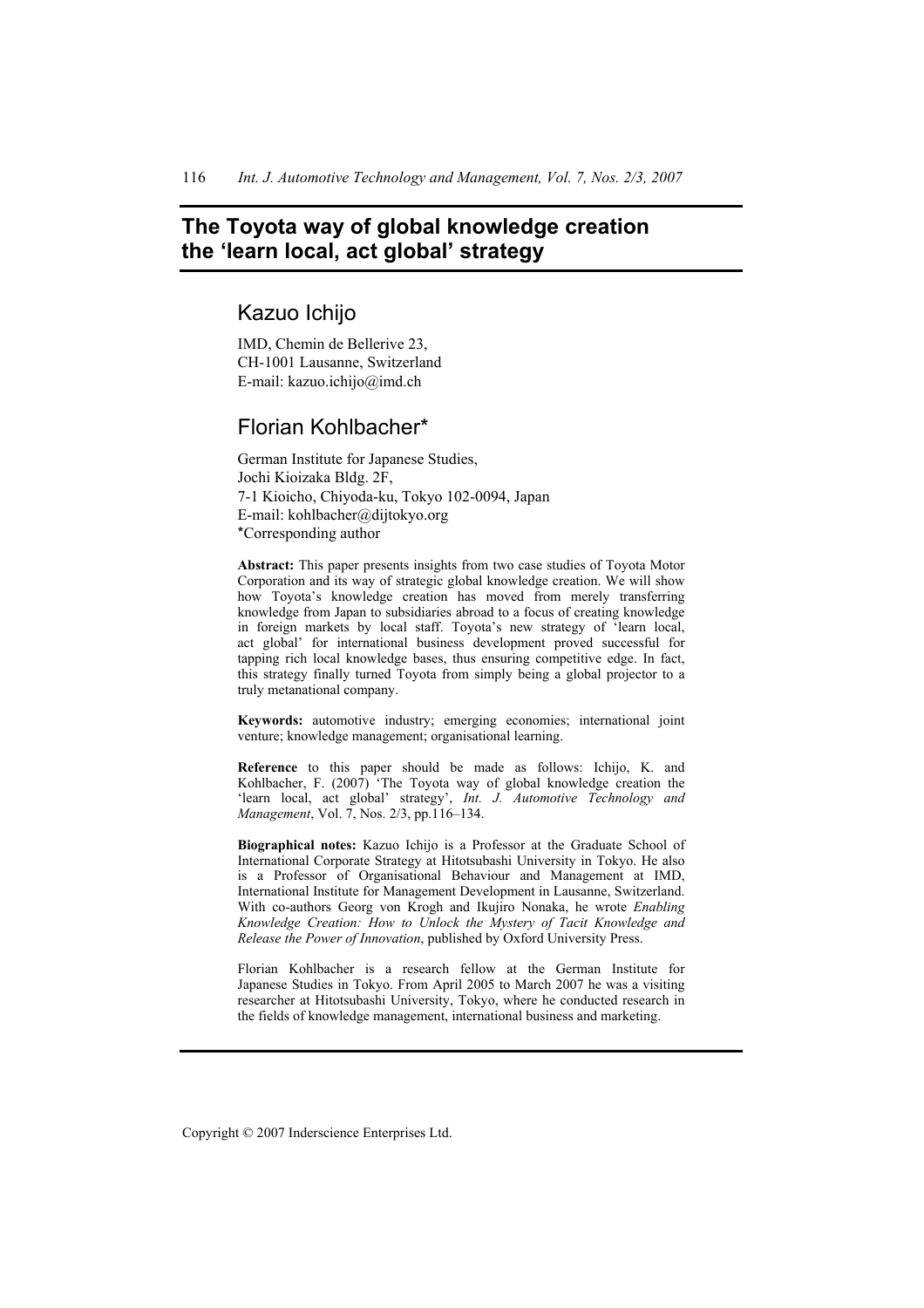## **The Toyota way of global knowledge creation the 'learn local, act global' strategy**

## Kazuo Ichijo

IMD, Chemin de Bellerive 23, CH-1001 Lausanne, Switzerland E-mail: kazuo.ichijo@imd.ch

## Florian Kohlbacher\*

German Institute for Japanese Studies, Jochi Kioizaka Bldg. 2F, 7-1 Kioicho, Chiyoda-ku, Tokyo 102-0094, Japan E-mail: kohlbacher@dijtokyo.org \*Corresponding author

**Abstract:** This paper presents insights from two case studies of Toyota Motor Corporation and its way of strategic global knowledge creation. We will show how Toyota's knowledge creation has moved from merely transferring knowledge from Japan to subsidiaries abroad to a focus of creating knowledge in foreign markets by local staff. Toyota's new strategy of 'learn local, act global' for international business development proved successful for tapping rich local knowledge bases, thus ensuring competitive edge. In fact, this strategy finally turned Toyota from simply being a global projector to a truly metanational company.

**Keywords:** automotive industry; emerging economies; international joint venture; knowledge management; organisational learning.

**Reference** to this paper should be made as follows: Ichijo, K. and Kohlbacher, F. (2007) 'The Toyota way of global knowledge creation the 'learn local, act global' strategy', *Int. J. Automotive Technology and Management*, Vol. 7, Nos. 2/3, pp.116–134.

**Biographical notes:** Kazuo Ichijo is a Professor at the Graduate School of International Corporate Strategy at Hitotsubashi University in Tokyo. He also is a Professor of Organisational Behaviour and Management at IMD, International Institute for Management Development in Lausanne, Switzerland. With co-authors Georg von Krogh and Ikujiro Nonaka, he wrote *Enabling Knowledge Creation: How to Unlock the Mystery of Tacit Knowledge and Release the Power of Innovation*, published by Oxford University Press.

Florian Kohlbacher is a research fellow at the German Institute for Japanese Studies in Tokyo. From April 2005 to March 2007 he was a visiting researcher at Hitotsubashi University, Tokyo, where he conducted research in the fields of knowledge management, international business and marketing.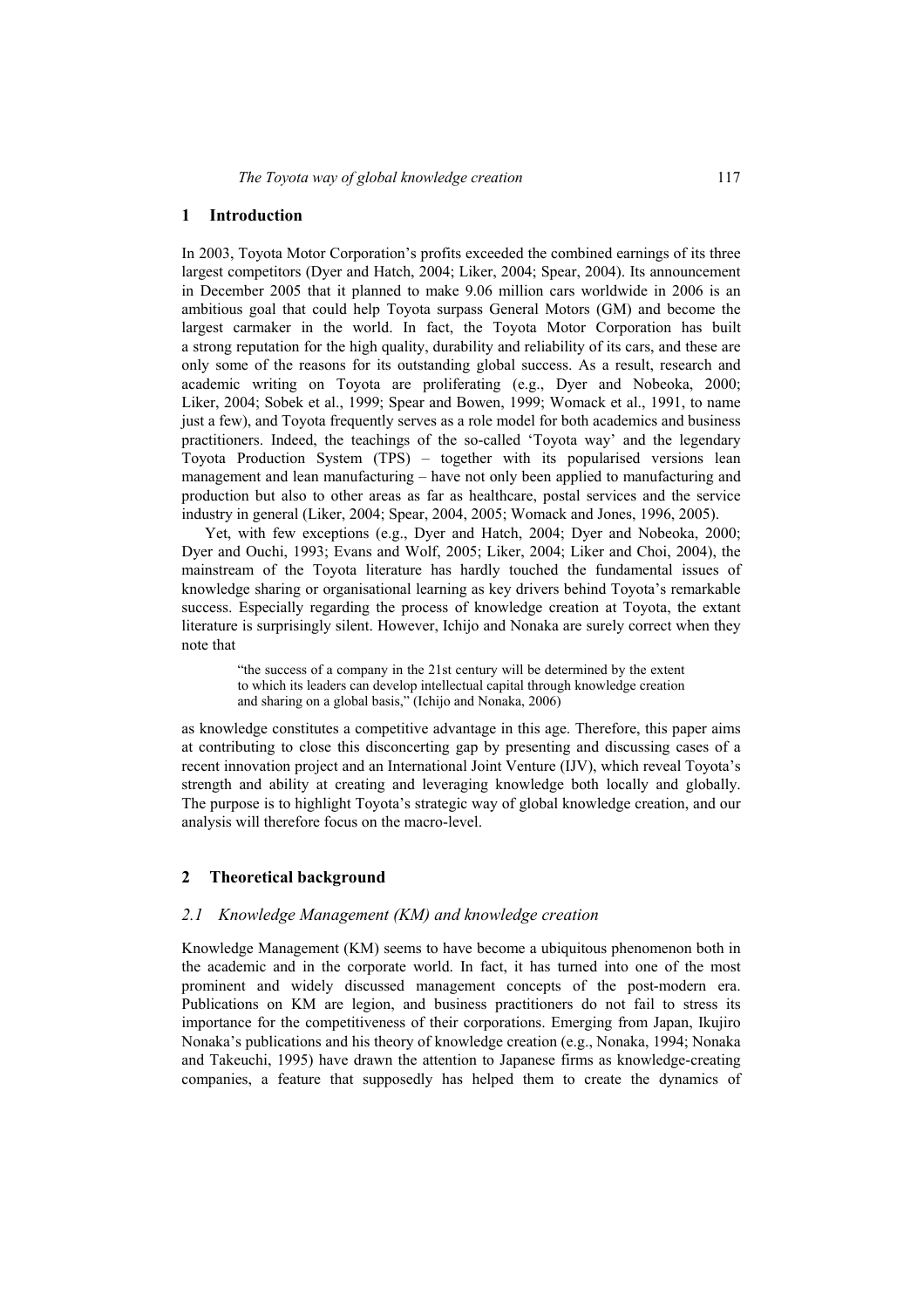## **1 Introduction**

In 2003, Toyota Motor Corporation's profits exceeded the combined earnings of its three largest competitors (Dyer and Hatch, 2004; Liker, 2004; Spear, 2004). Its announcement in December 2005 that it planned to make 9.06 million cars worldwide in 2006 is an ambitious goal that could help Toyota surpass General Motors (GM) and become the largest carmaker in the world. In fact, the Toyota Motor Corporation has built a strong reputation for the high quality, durability and reliability of its cars, and these are only some of the reasons for its outstanding global success. As a result, research and academic writing on Toyota are proliferating (e.g., Dyer and Nobeoka, 2000; Liker, 2004; Sobek et al., 1999; Spear and Bowen, 1999; Womack et al., 1991, to name just a few), and Toyota frequently serves as a role model for both academics and business practitioners. Indeed, the teachings of the so-called 'Toyota way' and the legendary Toyota Production System (TPS) – together with its popularised versions lean management and lean manufacturing – have not only been applied to manufacturing and production but also to other areas as far as healthcare, postal services and the service industry in general (Liker, 2004; Spear, 2004, 2005; Womack and Jones, 1996, 2005).

Yet, with few exceptions (e.g., Dyer and Hatch, 2004; Dyer and Nobeoka, 2000; Dyer and Ouchi, 1993; Evans and Wolf, 2005; Liker, 2004; Liker and Choi, 2004), the mainstream of the Toyota literature has hardly touched the fundamental issues of knowledge sharing or organisational learning as key drivers behind Toyota's remarkable success. Especially regarding the process of knowledge creation at Toyota, the extant literature is surprisingly silent. However, Ichijo and Nonaka are surely correct when they note that

"the success of a company in the 21st century will be determined by the extent to which its leaders can develop intellectual capital through knowledge creation and sharing on a global basis," (Ichijo and Nonaka, 2006)

as knowledge constitutes a competitive advantage in this age. Therefore, this paper aims at contributing to close this disconcerting gap by presenting and discussing cases of a recent innovation project and an International Joint Venture (IJV), which reveal Toyota's strength and ability at creating and leveraging knowledge both locally and globally. The purpose is to highlight Toyota's strategic way of global knowledge creation, and our analysis will therefore focus on the macro-level.

## **2 Theoretical background**

#### *2.1 Knowledge Management (KM) and knowledge creation*

Knowledge Management (KM) seems to have become a ubiquitous phenomenon both in the academic and in the corporate world. In fact, it has turned into one of the most prominent and widely discussed management concepts of the post-modern era. Publications on KM are legion, and business practitioners do not fail to stress its importance for the competitiveness of their corporations. Emerging from Japan, Ikujiro Nonaka's publications and his theory of knowledge creation (e.g., Nonaka, 1994; Nonaka and Takeuchi, 1995) have drawn the attention to Japanese firms as knowledge-creating companies, a feature that supposedly has helped them to create the dynamics of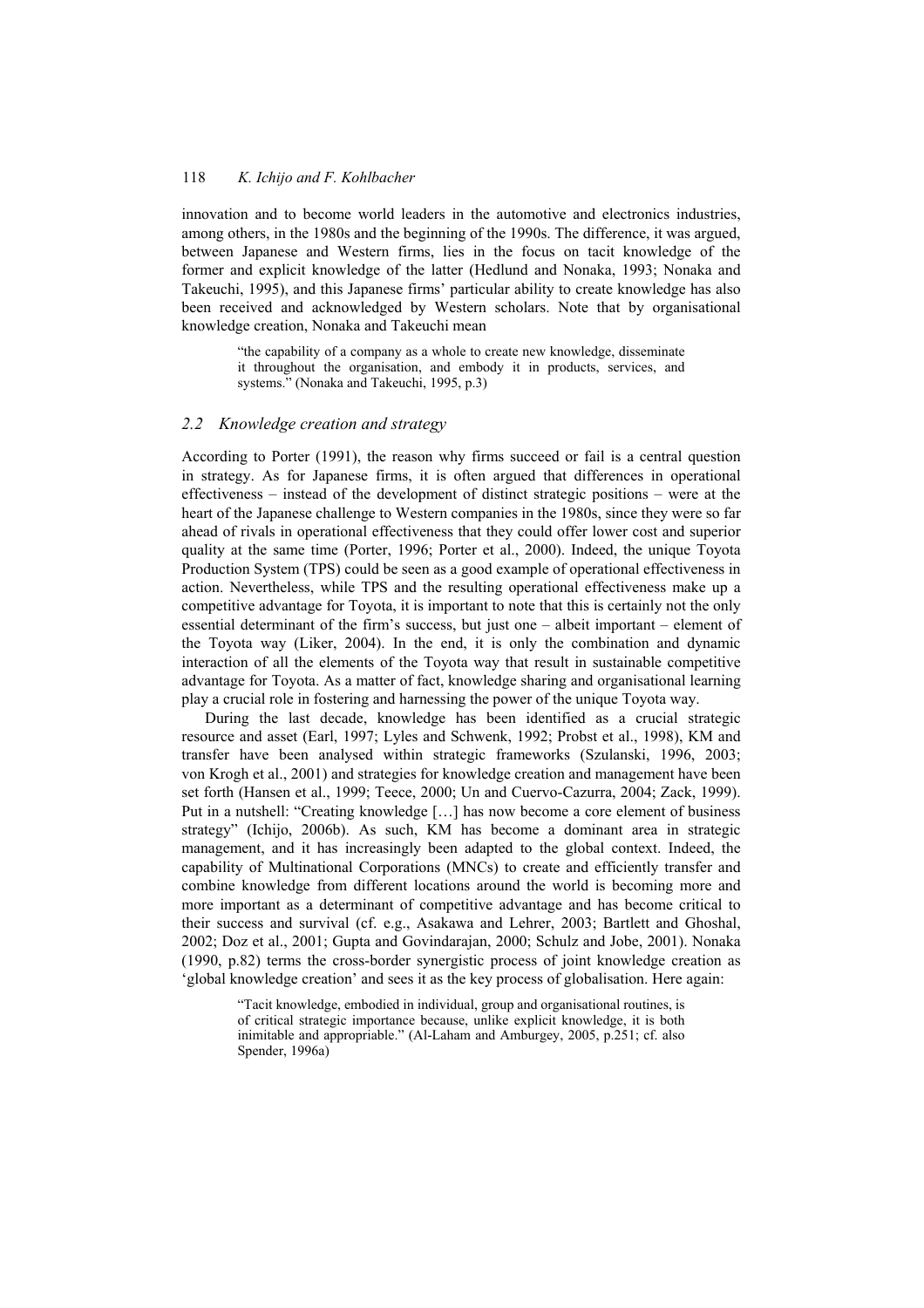innovation and to become world leaders in the automotive and electronics industries, among others, in the 1980s and the beginning of the 1990s. The difference, it was argued, between Japanese and Western firms, lies in the focus on tacit knowledge of the former and explicit knowledge of the latter (Hedlund and Nonaka, 1993; Nonaka and Takeuchi, 1995), and this Japanese firms' particular ability to create knowledge has also been received and acknowledged by Western scholars. Note that by organisational knowledge creation, Nonaka and Takeuchi mean

"the capability of a company as a whole to create new knowledge, disseminate it throughout the organisation, and embody it in products, services, and systems." (Nonaka and Takeuchi, 1995, p.3)

#### *2.2 Knowledge creation and strategy*

According to Porter (1991), the reason why firms succeed or fail is a central question in strategy. As for Japanese firms, it is often argued that differences in operational effectiveness – instead of the development of distinct strategic positions – were at the heart of the Japanese challenge to Western companies in the 1980s, since they were so far ahead of rivals in operational effectiveness that they could offer lower cost and superior quality at the same time (Porter, 1996; Porter et al., 2000). Indeed, the unique Toyota Production System (TPS) could be seen as a good example of operational effectiveness in action. Nevertheless, while TPS and the resulting operational effectiveness make up a competitive advantage for Toyota, it is important to note that this is certainly not the only essential determinant of the firm's success, but just one – albeit important – element of the Toyota way (Liker, 2004). In the end, it is only the combination and dynamic interaction of all the elements of the Toyota way that result in sustainable competitive advantage for Toyota. As a matter of fact, knowledge sharing and organisational learning play a crucial role in fostering and harnessing the power of the unique Toyota way.

During the last decade, knowledge has been identified as a crucial strategic resource and asset (Earl, 1997; Lyles and Schwenk, 1992; Probst et al., 1998), KM and transfer have been analysed within strategic frameworks (Szulanski, 1996, 2003; von Krogh et al., 2001) and strategies for knowledge creation and management have been set forth (Hansen et al., 1999; Teece, 2000; Un and Cuervo-Cazurra, 2004; Zack, 1999). Put in a nutshell: "Creating knowledge […] has now become a core element of business strategy" (Ichijo, 2006b). As such, KM has become a dominant area in strategic management, and it has increasingly been adapted to the global context. Indeed, the capability of Multinational Corporations (MNCs) to create and efficiently transfer and combine knowledge from different locations around the world is becoming more and more important as a determinant of competitive advantage and has become critical to their success and survival (cf. e.g., Asakawa and Lehrer, 2003; Bartlett and Ghoshal, 2002; Doz et al., 2001; Gupta and Govindarajan, 2000; Schulz and Jobe, 2001). Nonaka (1990, p.82) terms the cross-border synergistic process of joint knowledge creation as 'global knowledge creation' and sees it as the key process of globalisation. Here again:

"Tacit knowledge, embodied in individual, group and organisational routines, is of critical strategic importance because, unlike explicit knowledge, it is both inimitable and appropriable." (Al-Laham and Amburgey, 2005, p.251; cf. also Spender, 1996a)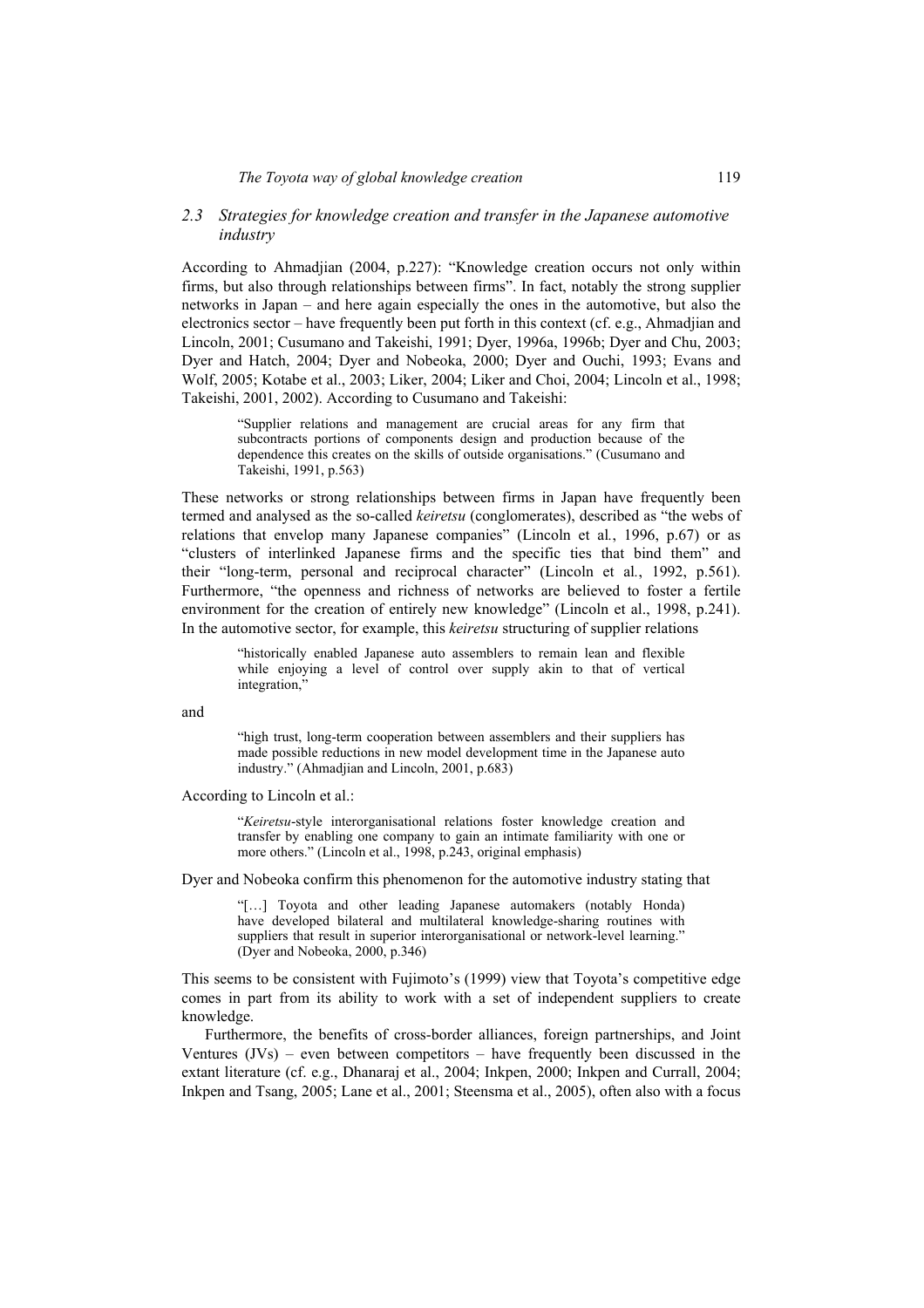## *2.3 Strategies for knowledge creation and transfer in the Japanese automotive industry*

According to Ahmadjian (2004, p.227): "Knowledge creation occurs not only within firms, but also through relationships between firms". In fact, notably the strong supplier networks in Japan – and here again especially the ones in the automotive, but also the electronics sector – have frequently been put forth in this context (cf. e.g., Ahmadjian and Lincoln, 2001; Cusumano and Takeishi, 1991; Dyer, 1996a, 1996b; Dyer and Chu, 2003; Dyer and Hatch, 2004; Dyer and Nobeoka, 2000; Dyer and Ouchi, 1993; Evans and Wolf, 2005; Kotabe et al., 2003; Liker, 2004; Liker and Choi, 2004; Lincoln et al., 1998; Takeishi, 2001, 2002). According to Cusumano and Takeishi:

"Supplier relations and management are crucial areas for any firm that subcontracts portions of components design and production because of the dependence this creates on the skills of outside organisations." (Cusumano and Takeishi, 1991, p.563)

These networks or strong relationships between firms in Japan have frequently been termed and analysed as the so-called *keiretsu* (conglomerates), described as "the webs of relations that envelop many Japanese companies" (Lincoln et al*.*, 1996, p.67) or as "clusters of interlinked Japanese firms and the specific ties that bind them" and their "long-term, personal and reciprocal character" (Lincoln et al*.*, 1992, p.561). Furthermore, "the openness and richness of networks are believed to foster a fertile environment for the creation of entirely new knowledge" (Lincoln et al., 1998, p.241). In the automotive sector, for example, this *keiretsu* structuring of supplier relations

"historically enabled Japanese auto assemblers to remain lean and flexible while enjoying a level of control over supply akin to that of vertical integration,"

and

"high trust, long-term cooperation between assemblers and their suppliers has made possible reductions in new model development time in the Japanese auto industry." (Ahmadjian and Lincoln, 2001, p.683)

According to Lincoln et al.:

"*Keiretsu*-style interorganisational relations foster knowledge creation and transfer by enabling one company to gain an intimate familiarity with one or more others." (Lincoln et al., 1998, p.243, original emphasis)

Dyer and Nobeoka confirm this phenomenon for the automotive industry stating that

"[…] Toyota and other leading Japanese automakers (notably Honda) have developed bilateral and multilateral knowledge-sharing routines with suppliers that result in superior interorganisational or network-level learning." (Dyer and Nobeoka, 2000, p.346)

This seems to be consistent with Fujimoto's (1999) view that Toyota's competitive edge comes in part from its ability to work with a set of independent suppliers to create knowledge.

Furthermore, the benefits of cross-border alliances, foreign partnerships, and Joint Ventures  $(JVs)$  – even between competitors – have frequently been discussed in the extant literature (cf. e.g., Dhanaraj et al., 2004; Inkpen, 2000; Inkpen and Currall, 2004; Inkpen and Tsang, 2005; Lane et al., 2001; Steensma et al., 2005), often also with a focus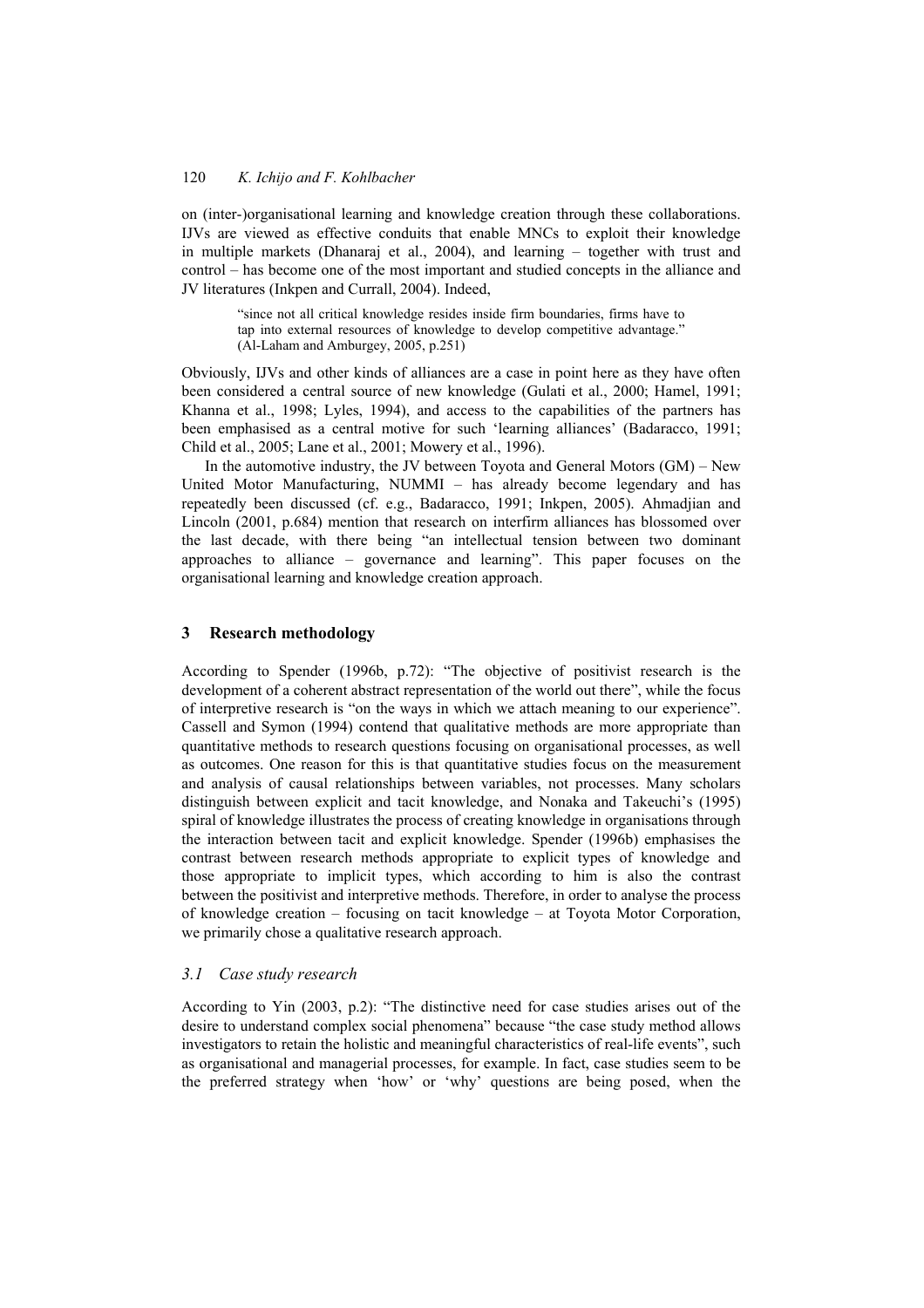on (inter-)organisational learning and knowledge creation through these collaborations. IJVs are viewed as effective conduits that enable MNCs to exploit their knowledge in multiple markets (Dhanaraj et al., 2004), and learning – together with trust and control – has become one of the most important and studied concepts in the alliance and JV literatures (Inkpen and Currall, 2004). Indeed,

> "since not all critical knowledge resides inside firm boundaries, firms have to tap into external resources of knowledge to develop competitive advantage." (Al-Laham and Amburgey, 2005, p.251)

Obviously, IJVs and other kinds of alliances are a case in point here as they have often been considered a central source of new knowledge (Gulati et al., 2000; Hamel, 1991; Khanna et al., 1998; Lyles, 1994), and access to the capabilities of the partners has been emphasised as a central motive for such 'learning alliances' (Badaracco, 1991; Child et al., 2005; Lane et al., 2001; Mowery et al., 1996).

In the automotive industry, the JV between Toyota and General Motors (GM) – New United Motor Manufacturing, NUMMI – has already become legendary and has repeatedly been discussed (cf. e.g., Badaracco, 1991; Inkpen, 2005). Ahmadjian and Lincoln (2001, p.684) mention that research on interfirm alliances has blossomed over the last decade, with there being "an intellectual tension between two dominant approaches to alliance – governance and learning". This paper focuses on the organisational learning and knowledge creation approach.

### **3 Research methodology**

According to Spender (1996b, p.72): "The objective of positivist research is the development of a coherent abstract representation of the world out there", while the focus of interpretive research is "on the ways in which we attach meaning to our experience". Cassell and Symon (1994) contend that qualitative methods are more appropriate than quantitative methods to research questions focusing on organisational processes, as well as outcomes. One reason for this is that quantitative studies focus on the measurement and analysis of causal relationships between variables, not processes. Many scholars distinguish between explicit and tacit knowledge, and Nonaka and Takeuchi's (1995) spiral of knowledge illustrates the process of creating knowledge in organisations through the interaction between tacit and explicit knowledge. Spender (1996b) emphasises the contrast between research methods appropriate to explicit types of knowledge and those appropriate to implicit types, which according to him is also the contrast between the positivist and interpretive methods. Therefore, in order to analyse the process of knowledge creation – focusing on tacit knowledge – at Toyota Motor Corporation, we primarily chose a qualitative research approach.

#### *3.1 Case study research*

According to Yin (2003, p.2): "The distinctive need for case studies arises out of the desire to understand complex social phenomena" because "the case study method allows investigators to retain the holistic and meaningful characteristics of real-life events", such as organisational and managerial processes, for example. In fact, case studies seem to be the preferred strategy when 'how' or 'why' questions are being posed, when the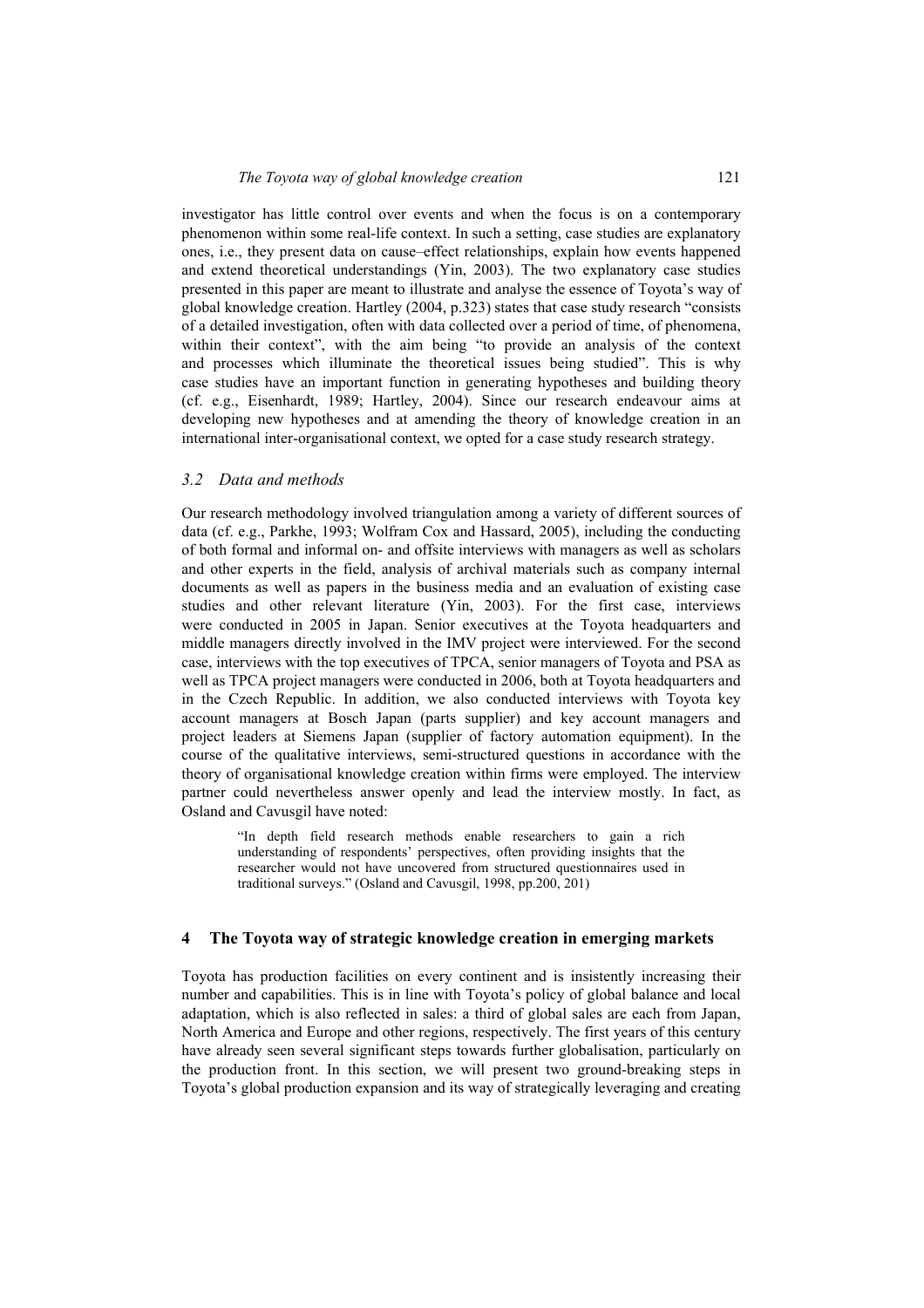investigator has little control over events and when the focus is on a contemporary phenomenon within some real-life context. In such a setting, case studies are explanatory ones, i.e., they present data on cause–effect relationships, explain how events happened and extend theoretical understandings (Yin, 2003). The two explanatory case studies presented in this paper are meant to illustrate and analyse the essence of Toyota's way of global knowledge creation. Hartley (2004, p.323) states that case study research "consists of a detailed investigation, often with data collected over a period of time, of phenomena, within their context", with the aim being "to provide an analysis of the context and processes which illuminate the theoretical issues being studied". This is why case studies have an important function in generating hypotheses and building theory (cf. e.g., Eisenhardt, 1989; Hartley, 2004). Since our research endeavour aims at developing new hypotheses and at amending the theory of knowledge creation in an international inter-organisational context, we opted for a case study research strategy.

#### *3.2 Data and methods*

Our research methodology involved triangulation among a variety of different sources of data (cf. e.g., Parkhe, 1993; Wolfram Cox and Hassard, 2005), including the conducting of both formal and informal on- and offsite interviews with managers as well as scholars and other experts in the field, analysis of archival materials such as company internal documents as well as papers in the business media and an evaluation of existing case studies and other relevant literature (Yin, 2003). For the first case, interviews were conducted in 2005 in Japan. Senior executives at the Toyota headquarters and middle managers directly involved in the IMV project were interviewed. For the second case, interviews with the top executives of TPCA, senior managers of Toyota and PSA as well as TPCA project managers were conducted in 2006, both at Toyota headquarters and in the Czech Republic. In addition, we also conducted interviews with Toyota key account managers at Bosch Japan (parts supplier) and key account managers and project leaders at Siemens Japan (supplier of factory automation equipment). In the course of the qualitative interviews, semi-structured questions in accordance with the theory of organisational knowledge creation within firms were employed. The interview partner could nevertheless answer openly and lead the interview mostly. In fact, as Osland and Cavusgil have noted:

> "In depth field research methods enable researchers to gain a rich understanding of respondents' perspectives, often providing insights that the researcher would not have uncovered from structured questionnaires used in traditional surveys." (Osland and Cavusgil, 1998, pp.200, 201)

## **4 The Toyota way of strategic knowledge creation in emerging markets**

Toyota has production facilities on every continent and is insistently increasing their number and capabilities. This is in line with Toyota's policy of global balance and local adaptation, which is also reflected in sales: a third of global sales are each from Japan, North America and Europe and other regions, respectively. The first years of this century have already seen several significant steps towards further globalisation, particularly on the production front. In this section, we will present two ground-breaking steps in Toyota's global production expansion and its way of strategically leveraging and creating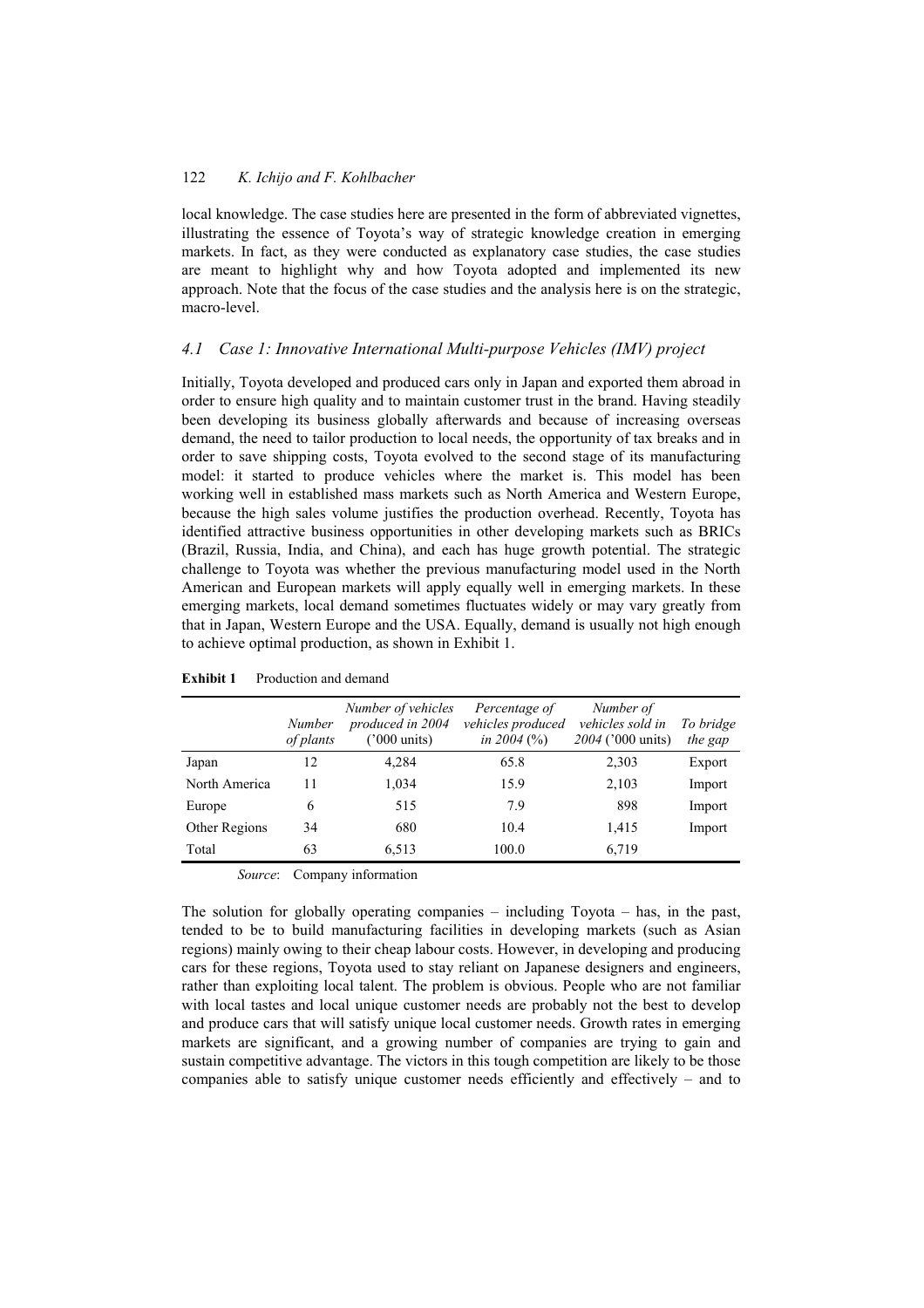local knowledge. The case studies here are presented in the form of abbreviated vignettes, illustrating the essence of Toyota's way of strategic knowledge creation in emerging markets. In fact, as they were conducted as explanatory case studies, the case studies are meant to highlight why and how Toyota adopted and implemented its new approach. Note that the focus of the case studies and the analysis here is on the strategic, macro-level.

## *4.1 Case 1: Innovative International Multi-purpose Vehicles (IMV) project*

Initially, Toyota developed and produced cars only in Japan and exported them abroad in order to ensure high quality and to maintain customer trust in the brand. Having steadily been developing its business globally afterwards and because of increasing overseas demand, the need to tailor production to local needs, the opportunity of tax breaks and in order to save shipping costs, Toyota evolved to the second stage of its manufacturing model: it started to produce vehicles where the market is. This model has been working well in established mass markets such as North America and Western Europe, because the high sales volume justifies the production overhead. Recently, Toyota has identified attractive business opportunities in other developing markets such as BRICs (Brazil, Russia, India, and China), and each has huge growth potential. The strategic challenge to Toyota was whether the previous manufacturing model used in the North American and European markets will apply equally well in emerging markets. In these emerging markets, local demand sometimes fluctuates widely or may vary greatly from that in Japan, Western Europe and the USA. Equally, demand is usually not high enough to achieve optimal production, as shown in Exhibit 1.

|               | Number<br>of plants | Number of vehicles<br>produced in 2004<br>$(2000 \text{ units})$ | Percentage of<br>vehicles produced<br>in $2004\,(%)$ | Number of<br>vehicles sold in<br>2004 ('000 units) | To bridge<br>the gap |
|---------------|---------------------|------------------------------------------------------------------|------------------------------------------------------|----------------------------------------------------|----------------------|
| Japan         | 12                  | 4,284                                                            | 65.8                                                 | 2,303                                              | Export               |
| North America | 11                  | 1,034                                                            | 15.9                                                 | 2,103                                              | Import               |
| Europe        | 6                   | 515                                                              | 7.9                                                  | 898                                                | Import               |
| Other Regions | 34                  | 680                                                              | 10.4                                                 | 1,415                                              | Import               |
| Total         | 63                  | 6,513                                                            | 100.0                                                | 6,719                                              |                      |

**Exhibit 1** Production and demand

*Source*: Company information

The solution for globally operating companies – including Toyota – has, in the past, tended to be to build manufacturing facilities in developing markets (such as Asian regions) mainly owing to their cheap labour costs. However, in developing and producing cars for these regions, Toyota used to stay reliant on Japanese designers and engineers, rather than exploiting local talent. The problem is obvious. People who are not familiar with local tastes and local unique customer needs are probably not the best to develop and produce cars that will satisfy unique local customer needs. Growth rates in emerging markets are significant, and a growing number of companies are trying to gain and sustain competitive advantage. The victors in this tough competition are likely to be those companies able to satisfy unique customer needs efficiently and effectively – and to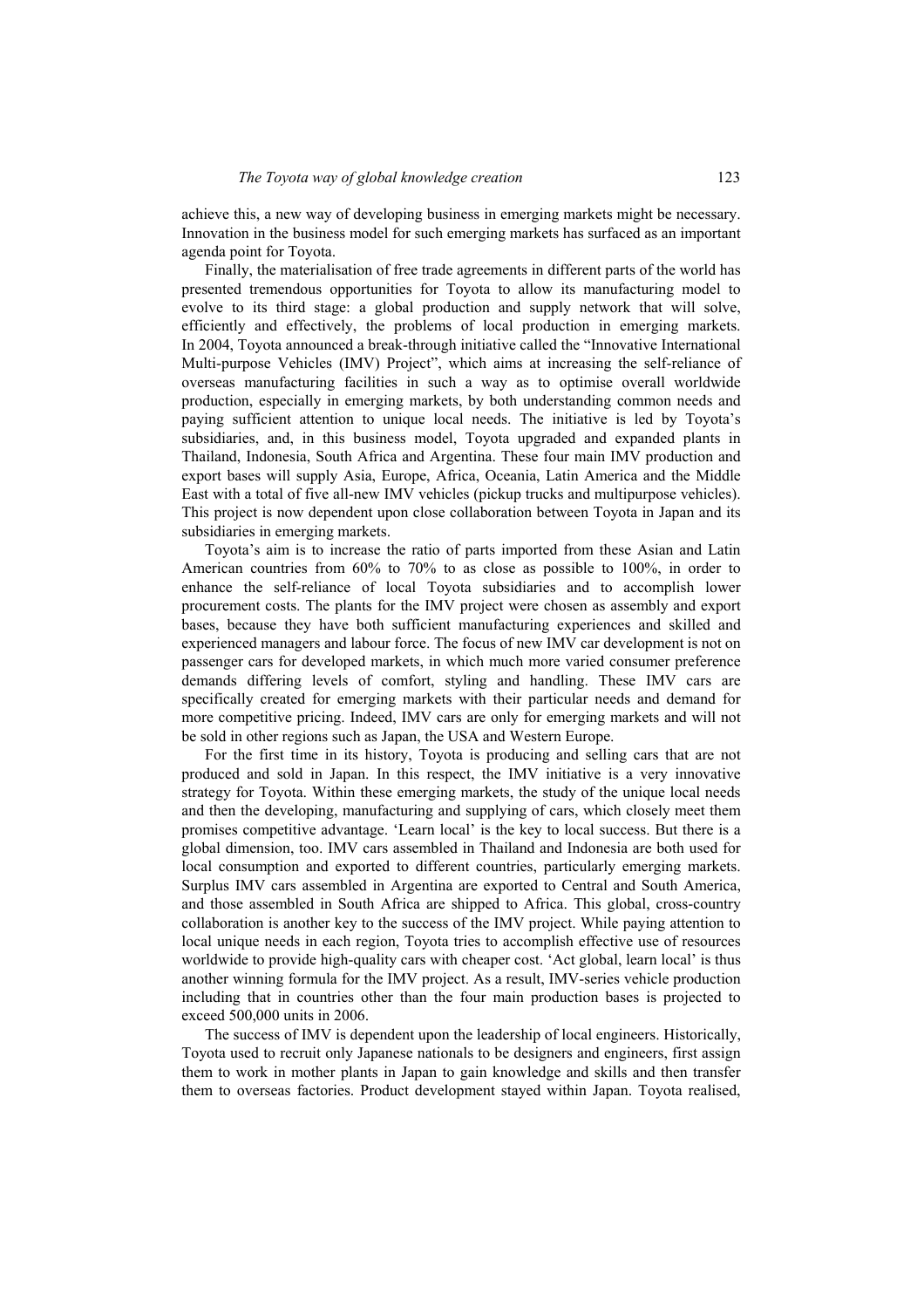achieve this, a new way of developing business in emerging markets might be necessary. Innovation in the business model for such emerging markets has surfaced as an important agenda point for Toyota.

Finally, the materialisation of free trade agreements in different parts of the world has presented tremendous opportunities for Toyota to allow its manufacturing model to evolve to its third stage: a global production and supply network that will solve, efficiently and effectively, the problems of local production in emerging markets. In 2004, Toyota announced a break-through initiative called the "Innovative International Multi-purpose Vehicles (IMV) Project", which aims at increasing the self-reliance of overseas manufacturing facilities in such a way as to optimise overall worldwide production, especially in emerging markets, by both understanding common needs and paying sufficient attention to unique local needs. The initiative is led by Toyota's subsidiaries, and, in this business model, Toyota upgraded and expanded plants in Thailand, Indonesia, South Africa and Argentina. These four main IMV production and export bases will supply Asia, Europe, Africa, Oceania, Latin America and the Middle East with a total of five all-new IMV vehicles (pickup trucks and multipurpose vehicles). This project is now dependent upon close collaboration between Toyota in Japan and its subsidiaries in emerging markets.

Toyota's aim is to increase the ratio of parts imported from these Asian and Latin American countries from 60% to 70% to as close as possible to 100%, in order to enhance the self-reliance of local Toyota subsidiaries and to accomplish lower procurement costs. The plants for the IMV project were chosen as assembly and export bases, because they have both sufficient manufacturing experiences and skilled and experienced managers and labour force. The focus of new IMV car development is not on passenger cars for developed markets, in which much more varied consumer preference demands differing levels of comfort, styling and handling. These IMV cars are specifically created for emerging markets with their particular needs and demand for more competitive pricing. Indeed, IMV cars are only for emerging markets and will not be sold in other regions such as Japan, the USA and Western Europe.

For the first time in its history, Toyota is producing and selling cars that are not produced and sold in Japan. In this respect, the IMV initiative is a very innovative strategy for Toyota. Within these emerging markets, the study of the unique local needs and then the developing, manufacturing and supplying of cars, which closely meet them promises competitive advantage. 'Learn local' is the key to local success. But there is a global dimension, too. IMV cars assembled in Thailand and Indonesia are both used for local consumption and exported to different countries, particularly emerging markets. Surplus IMV cars assembled in Argentina are exported to Central and South America, and those assembled in South Africa are shipped to Africa. This global, cross-country collaboration is another key to the success of the IMV project. While paying attention to local unique needs in each region, Toyota tries to accomplish effective use of resources worldwide to provide high-quality cars with cheaper cost. 'Act global, learn local' is thus another winning formula for the IMV project. As a result, IMV-series vehicle production including that in countries other than the four main production bases is projected to exceed 500,000 units in 2006.

The success of IMV is dependent upon the leadership of local engineers. Historically, Toyota used to recruit only Japanese nationals to be designers and engineers, first assign them to work in mother plants in Japan to gain knowledge and skills and then transfer them to overseas factories. Product development stayed within Japan. Toyota realised,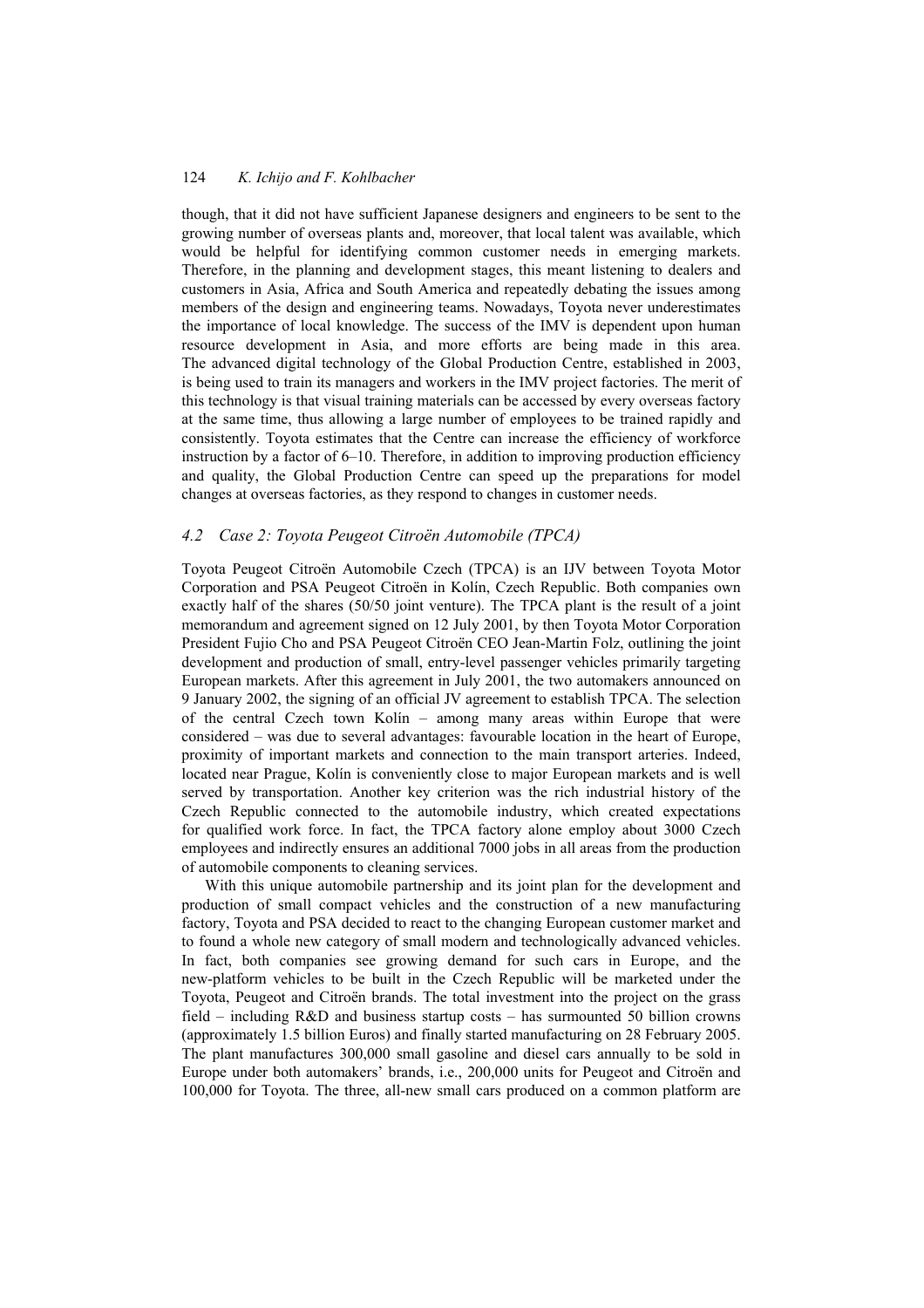though, that it did not have sufficient Japanese designers and engineers to be sent to the growing number of overseas plants and, moreover, that local talent was available, which would be helpful for identifying common customer needs in emerging markets. Therefore, in the planning and development stages, this meant listening to dealers and customers in Asia, Africa and South America and repeatedly debating the issues among members of the design and engineering teams. Nowadays, Toyota never underestimates the importance of local knowledge. The success of the IMV is dependent upon human resource development in Asia, and more efforts are being made in this area. The advanced digital technology of the Global Production Centre, established in 2003, is being used to train its managers and workers in the IMV project factories. The merit of this technology is that visual training materials can be accessed by every overseas factory at the same time, thus allowing a large number of employees to be trained rapidly and consistently. Toyota estimates that the Centre can increase the efficiency of workforce instruction by a factor of 6–10. Therefore, in addition to improving production efficiency and quality, the Global Production Centre can speed up the preparations for model changes at overseas factories, as they respond to changes in customer needs.

#### *4.2 Case 2: Toyota Peugeot Citroën Automobile (TPCA)*

Toyota Peugeot Citroën Automobile Czech (TPCA) is an IJV between Toyota Motor Corporation and PSA Peugeot Citroën in Kolín, Czech Republic. Both companies own exactly half of the shares (50/50 joint venture). The TPCA plant is the result of a joint memorandum and agreement signed on 12 July 2001, by then Toyota Motor Corporation President Fujio Cho and PSA Peugeot Citroën CEO Jean-Martin Folz, outlining the joint development and production of small, entry-level passenger vehicles primarily targeting European markets. After this agreement in July 2001, the two automakers announced on 9 January 2002, the signing of an official JV agreement to establish TPCA. The selection of the central Czech town Kolín – among many areas within Europe that were considered – was due to several advantages: favourable location in the heart of Europe, proximity of important markets and connection to the main transport arteries. Indeed, located near Prague, Kolín is conveniently close to major European markets and is well served by transportation. Another key criterion was the rich industrial history of the Czech Republic connected to the automobile industry, which created expectations for qualified work force. In fact, the TPCA factory alone employ about 3000 Czech employees and indirectly ensures an additional 7000 jobs in all areas from the production of automobile components to cleaning services.

With this unique automobile partnership and its joint plan for the development and production of small compact vehicles and the construction of a new manufacturing factory, Toyota and PSA decided to react to the changing European customer market and to found a whole new category of small modern and technologically advanced vehicles. In fact, both companies see growing demand for such cars in Europe, and the new-platform vehicles to be built in the Czech Republic will be marketed under the Toyota, Peugeot and Citroën brands. The total investment into the project on the grass field – including R&D and business startup costs – has surmounted 50 billion crowns (approximately 1.5 billion Euros) and finally started manufacturing on 28 February 2005. The plant manufactures 300,000 small gasoline and diesel cars annually to be sold in Europe under both automakers' brands, i.e., 200,000 units for Peugeot and Citroën and 100,000 for Toyota. The three, all-new small cars produced on a common platform are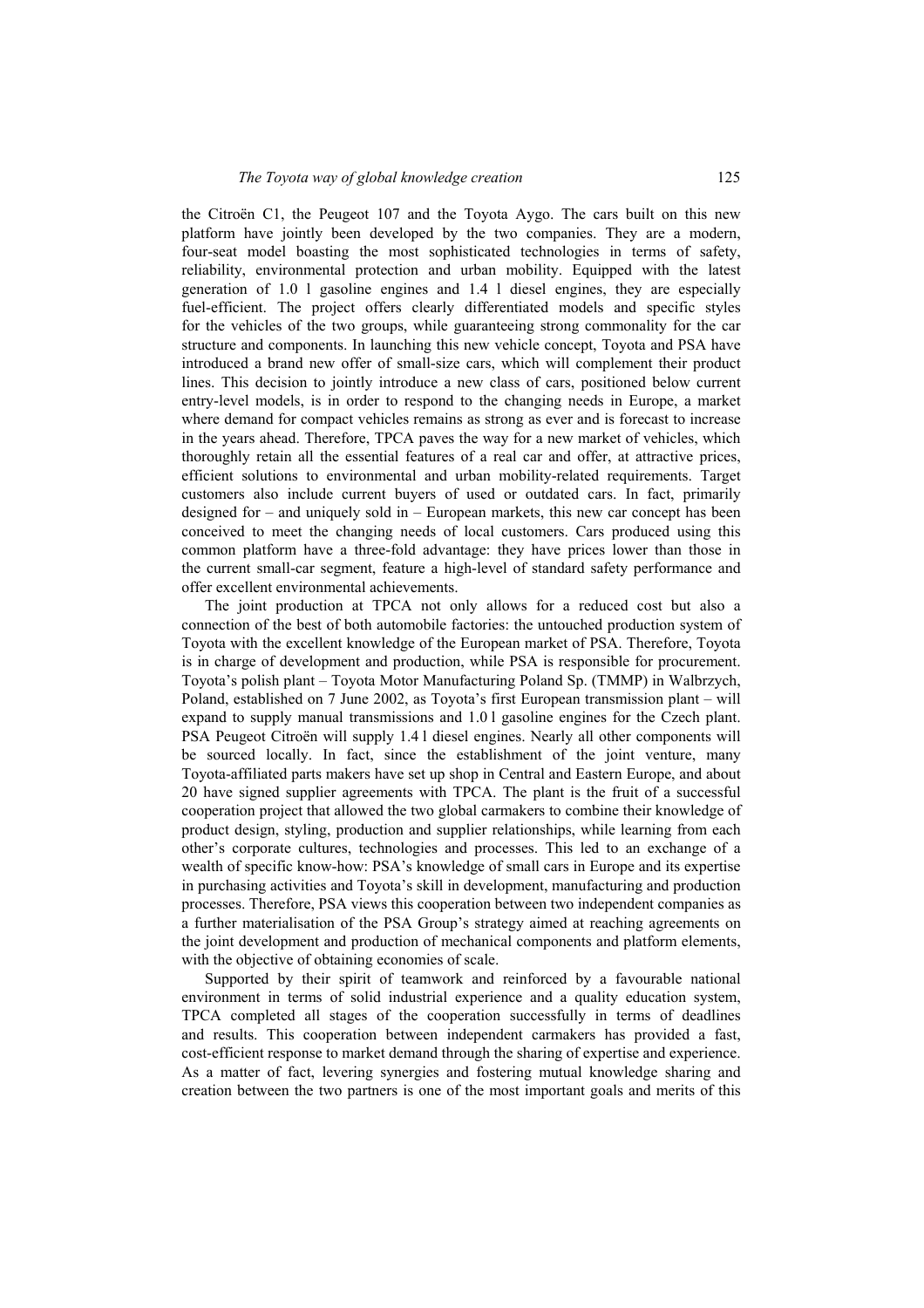the Citroën C1, the Peugeot 107 and the Toyota Aygo. The cars built on this new platform have jointly been developed by the two companies. They are a modern, four-seat model boasting the most sophisticated technologies in terms of safety, reliability, environmental protection and urban mobility. Equipped with the latest generation of 1.0 l gasoline engines and 1.4 l diesel engines, they are especially fuel-efficient. The project offers clearly differentiated models and specific styles for the vehicles of the two groups, while guaranteeing strong commonality for the car structure and components. In launching this new vehicle concept, Toyota and PSA have introduced a brand new offer of small-size cars, which will complement their product lines. This decision to jointly introduce a new class of cars, positioned below current entry-level models, is in order to respond to the changing needs in Europe, a market where demand for compact vehicles remains as strong as ever and is forecast to increase in the years ahead. Therefore, TPCA paves the way for a new market of vehicles, which thoroughly retain all the essential features of a real car and offer, at attractive prices, efficient solutions to environmental and urban mobility-related requirements. Target customers also include current buyers of used or outdated cars. In fact, primarily designed for – and uniquely sold in – European markets, this new car concept has been conceived to meet the changing needs of local customers. Cars produced using this common platform have a three-fold advantage: they have prices lower than those in the current small-car segment, feature a high-level of standard safety performance and offer excellent environmental achievements.

The joint production at TPCA not only allows for a reduced cost but also a connection of the best of both automobile factories: the untouched production system of Toyota with the excellent knowledge of the European market of PSA. Therefore, Toyota is in charge of development and production, while PSA is responsible for procurement. Toyota's polish plant – Toyota Motor Manufacturing Poland Sp. (TMMP) in Walbrzych, Poland, established on 7 June 2002, as Toyota's first European transmission plant – will expand to supply manual transmissions and 1.0 l gasoline engines for the Czech plant. PSA Peugeot Citroën will supply 1.4 l diesel engines. Nearly all other components will be sourced locally. In fact, since the establishment of the joint venture, many Toyota-affiliated parts makers have set up shop in Central and Eastern Europe, and about 20 have signed supplier agreements with TPCA. The plant is the fruit of a successful cooperation project that allowed the two global carmakers to combine their knowledge of product design, styling, production and supplier relationships, while learning from each other's corporate cultures, technologies and processes. This led to an exchange of a wealth of specific know-how: PSA's knowledge of small cars in Europe and its expertise in purchasing activities and Toyota's skill in development, manufacturing and production processes. Therefore, PSA views this cooperation between two independent companies as a further materialisation of the PSA Group's strategy aimed at reaching agreements on the joint development and production of mechanical components and platform elements, with the objective of obtaining economies of scale.

Supported by their spirit of teamwork and reinforced by a favourable national environment in terms of solid industrial experience and a quality education system, TPCA completed all stages of the cooperation successfully in terms of deadlines and results. This cooperation between independent carmakers has provided a fast, cost-efficient response to market demand through the sharing of expertise and experience. As a matter of fact, levering synergies and fostering mutual knowledge sharing and creation between the two partners is one of the most important goals and merits of this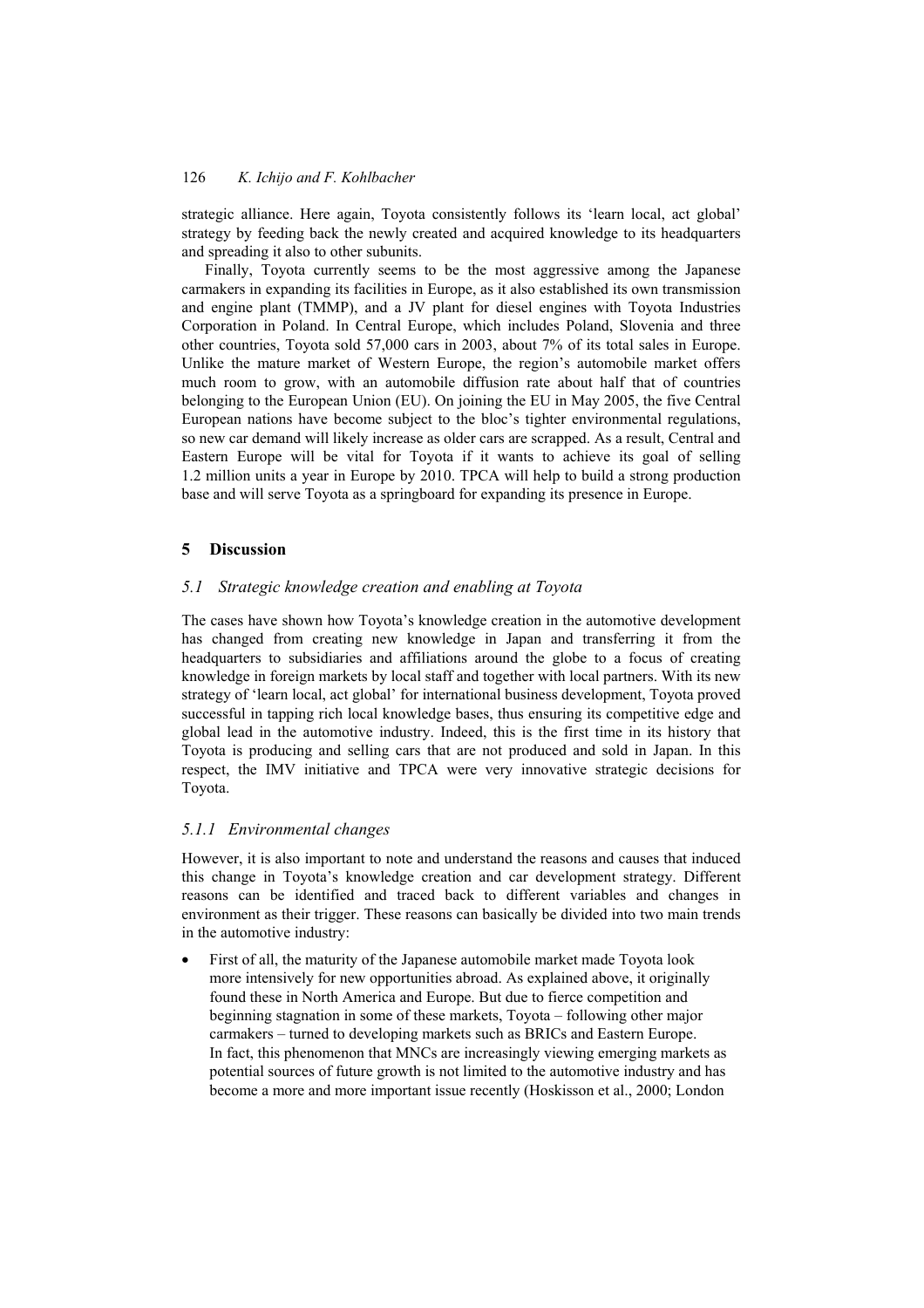strategic alliance. Here again, Toyota consistently follows its 'learn local, act global' strategy by feeding back the newly created and acquired knowledge to its headquarters and spreading it also to other subunits.

Finally, Toyota currently seems to be the most aggressive among the Japanese carmakers in expanding its facilities in Europe, as it also established its own transmission and engine plant (TMMP), and a JV plant for diesel engines with Toyota Industries Corporation in Poland. In Central Europe, which includes Poland, Slovenia and three other countries, Toyota sold 57,000 cars in 2003, about 7% of its total sales in Europe. Unlike the mature market of Western Europe, the region's automobile market offers much room to grow, with an automobile diffusion rate about half that of countries belonging to the European Union (EU). On joining the EU in May 2005, the five Central European nations have become subject to the bloc's tighter environmental regulations, so new car demand will likely increase as older cars are scrapped. As a result, Central and Eastern Europe will be vital for Toyota if it wants to achieve its goal of selling 1.2 million units a year in Europe by 2010. TPCA will help to build a strong production base and will serve Toyota as a springboard for expanding its presence in Europe.

## **5 Discussion**

## *5.1 Strategic knowledge creation and enabling at Toyota*

The cases have shown how Toyota's knowledge creation in the automotive development has changed from creating new knowledge in Japan and transferring it from the headquarters to subsidiaries and affiliations around the globe to a focus of creating knowledge in foreign markets by local staff and together with local partners. With its new strategy of 'learn local, act global' for international business development, Toyota proved successful in tapping rich local knowledge bases, thus ensuring its competitive edge and global lead in the automotive industry. Indeed, this is the first time in its history that Toyota is producing and selling cars that are not produced and sold in Japan. In this respect, the IMV initiative and TPCA were very innovative strategic decisions for Toyota.

## *5.1.1 Environmental changes*

However, it is also important to note and understand the reasons and causes that induced this change in Toyota's knowledge creation and car development strategy. Different reasons can be identified and traced back to different variables and changes in environment as their trigger. These reasons can basically be divided into two main trends in the automotive industry:

• First of all, the maturity of the Japanese automobile market made Toyota look more intensively for new opportunities abroad. As explained above, it originally found these in North America and Europe. But due to fierce competition and beginning stagnation in some of these markets, Toyota – following other major carmakers – turned to developing markets such as BRICs and Eastern Europe. In fact, this phenomenon that MNCs are increasingly viewing emerging markets as potential sources of future growth is not limited to the automotive industry and has become a more and more important issue recently (Hoskisson et al., 2000; London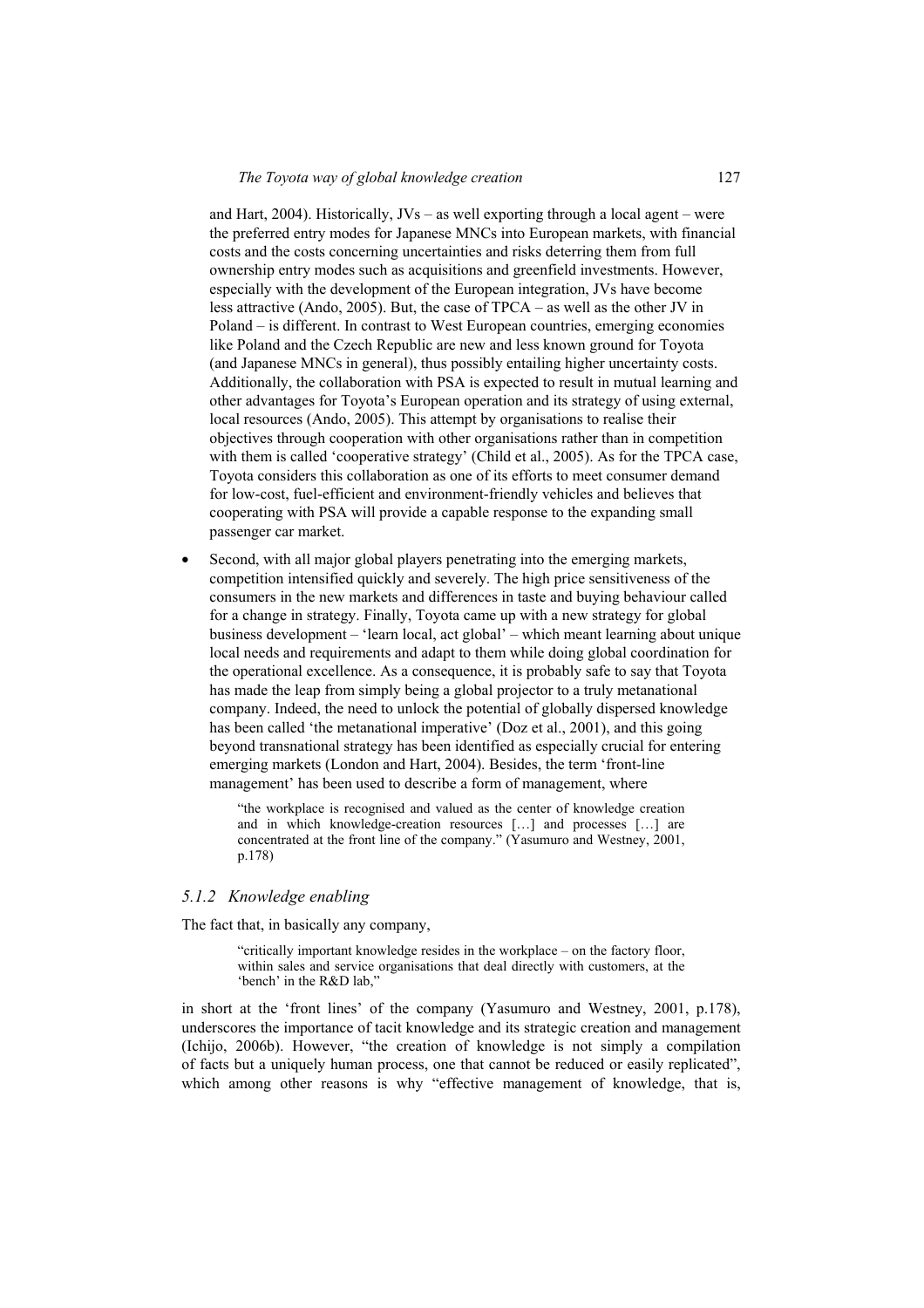and Hart, 2004). Historically, JVs – as well exporting through a local agent – were the preferred entry modes for Japanese MNCs into European markets, with financial costs and the costs concerning uncertainties and risks deterring them from full ownership entry modes such as acquisitions and greenfield investments. However, especially with the development of the European integration, JVs have become less attractive (Ando, 2005). But, the case of TPCA – as well as the other JV in Poland – is different. In contrast to West European countries, emerging economies like Poland and the Czech Republic are new and less known ground for Toyota (and Japanese MNCs in general), thus possibly entailing higher uncertainty costs. Additionally, the collaboration with PSA is expected to result in mutual learning and other advantages for Toyota's European operation and its strategy of using external, local resources (Ando, 2005). This attempt by organisations to realise their objectives through cooperation with other organisations rather than in competition with them is called 'cooperative strategy' (Child et al., 2005). As for the TPCA case, Toyota considers this collaboration as one of its efforts to meet consumer demand for low-cost, fuel-efficient and environment-friendly vehicles and believes that cooperating with PSA will provide a capable response to the expanding small passenger car market.

Second, with all major global players penetrating into the emerging markets, competition intensified quickly and severely. The high price sensitiveness of the consumers in the new markets and differences in taste and buying behaviour called for a change in strategy. Finally, Toyota came up with a new strategy for global business development – 'learn local, act global' – which meant learning about unique local needs and requirements and adapt to them while doing global coordination for the operational excellence. As a consequence, it is probably safe to say that Toyota has made the leap from simply being a global projector to a truly metanational company. Indeed, the need to unlock the potential of globally dispersed knowledge has been called 'the metanational imperative' (Doz et al., 2001), and this going beyond transnational strategy has been identified as especially crucial for entering emerging markets (London and Hart, 2004). Besides, the term 'front-line management' has been used to describe a form of management, where

"the workplace is recognised and valued as the center of knowledge creation and in which knowledge-creation resources […] and processes […] are concentrated at the front line of the company." (Yasumuro and Westney, 2001, p.178)

## *5.1.2 Knowledge enabling*

The fact that, in basically any company,

"critically important knowledge resides in the workplace – on the factory floor, within sales and service organisations that deal directly with customers, at the 'bench' in the R&D lab,"

in short at the 'front lines' of the company (Yasumuro and Westney, 2001, p.178), underscores the importance of tacit knowledge and its strategic creation and management (Ichijo, 2006b). However, "the creation of knowledge is not simply a compilation of facts but a uniquely human process, one that cannot be reduced or easily replicated", which among other reasons is why "effective management of knowledge, that is,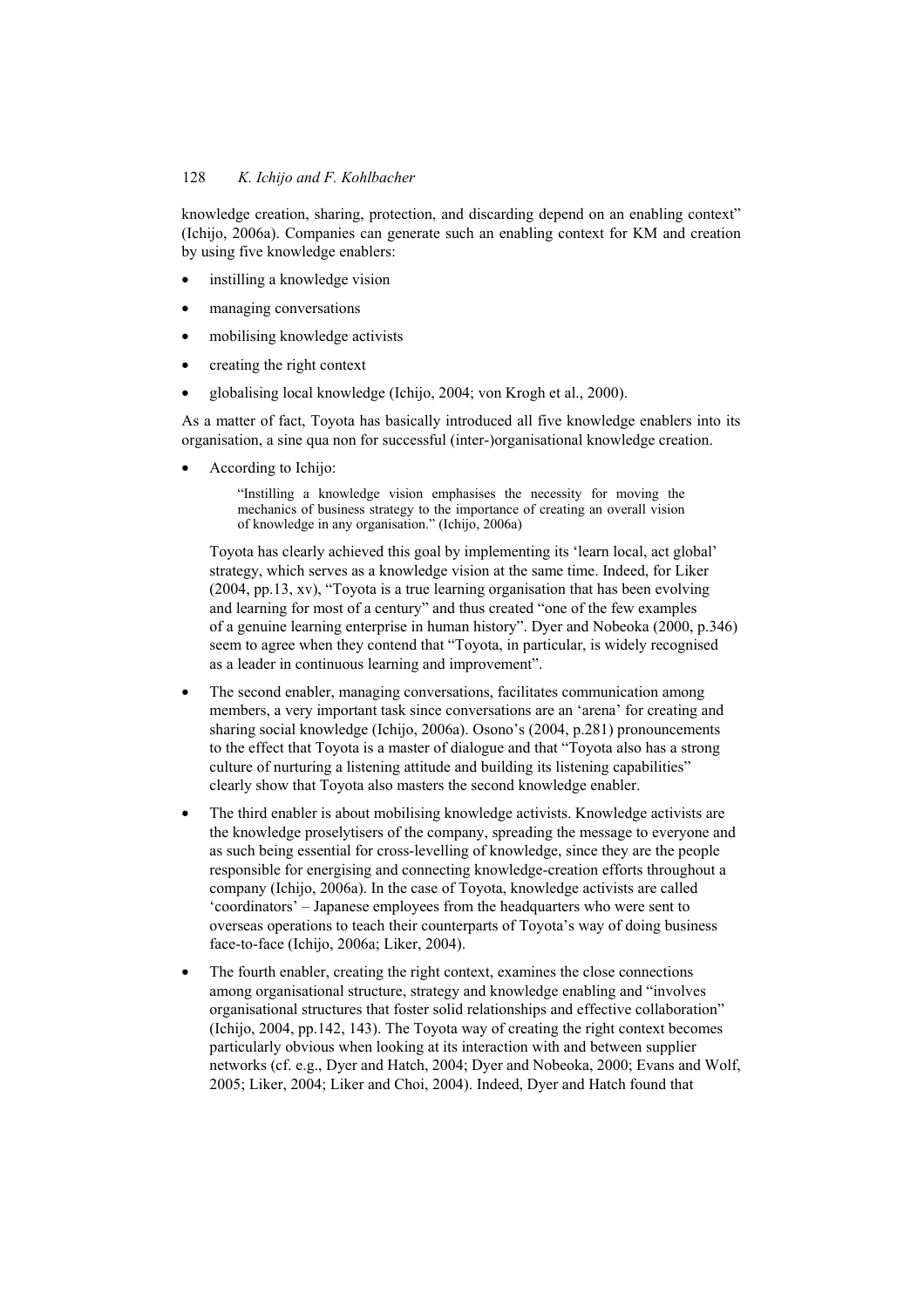knowledge creation, sharing, protection, and discarding depend on an enabling context" (Ichijo, 2006a). Companies can generate such an enabling context for KM and creation by using five knowledge enablers:

- instilling a knowledge vision
- managing conversations
- mobilising knowledge activists
- creating the right context
- globalising local knowledge (Ichijo, 2004; von Krogh et al., 2000).

As a matter of fact, Toyota has basically introduced all five knowledge enablers into its organisation, a sine qua non for successful (inter-)organisational knowledge creation.

• According to Ichijo:

"Instilling a knowledge vision emphasises the necessity for moving the mechanics of business strategy to the importance of creating an overall vision of knowledge in any organisation." (Ichijo, 2006a)

Toyota has clearly achieved this goal by implementing its 'learn local, act global' strategy, which serves as a knowledge vision at the same time. Indeed, for Liker (2004, pp.13, xv), "Toyota is a true learning organisation that has been evolving and learning for most of a century" and thus created "one of the few examples of a genuine learning enterprise in human history". Dyer and Nobeoka (2000, p.346) seem to agree when they contend that "Toyota, in particular, is widely recognised as a leader in continuous learning and improvement".

- The second enabler, managing conversations, facilitates communication among members, a very important task since conversations are an 'arena' for creating and sharing social knowledge (Ichijo, 2006a). Osono's (2004, p.281) pronouncements to the effect that Toyota is a master of dialogue and that "Toyota also has a strong culture of nurturing a listening attitude and building its listening capabilities" clearly show that Toyota also masters the second knowledge enabler.
- The third enabler is about mobilising knowledge activists. Knowledge activists are the knowledge proselytisers of the company, spreading the message to everyone and as such being essential for cross-levelling of knowledge, since they are the people responsible for energising and connecting knowledge-creation efforts throughout a company (Ichijo, 2006a). In the case of Toyota, knowledge activists are called 'coordinators' – Japanese employees from the headquarters who were sent to overseas operations to teach their counterparts of Toyota's way of doing business face-to-face (Ichijo, 2006a; Liker, 2004).
- The fourth enabler, creating the right context, examines the close connections among organisational structure, strategy and knowledge enabling and "involves organisational structures that foster solid relationships and effective collaboration" (Ichijo, 2004, pp.142, 143). The Toyota way of creating the right context becomes particularly obvious when looking at its interaction with and between supplier networks (cf. e.g., Dyer and Hatch, 2004; Dyer and Nobeoka, 2000; Evans and Wolf, 2005; Liker, 2004; Liker and Choi, 2004). Indeed, Dyer and Hatch found that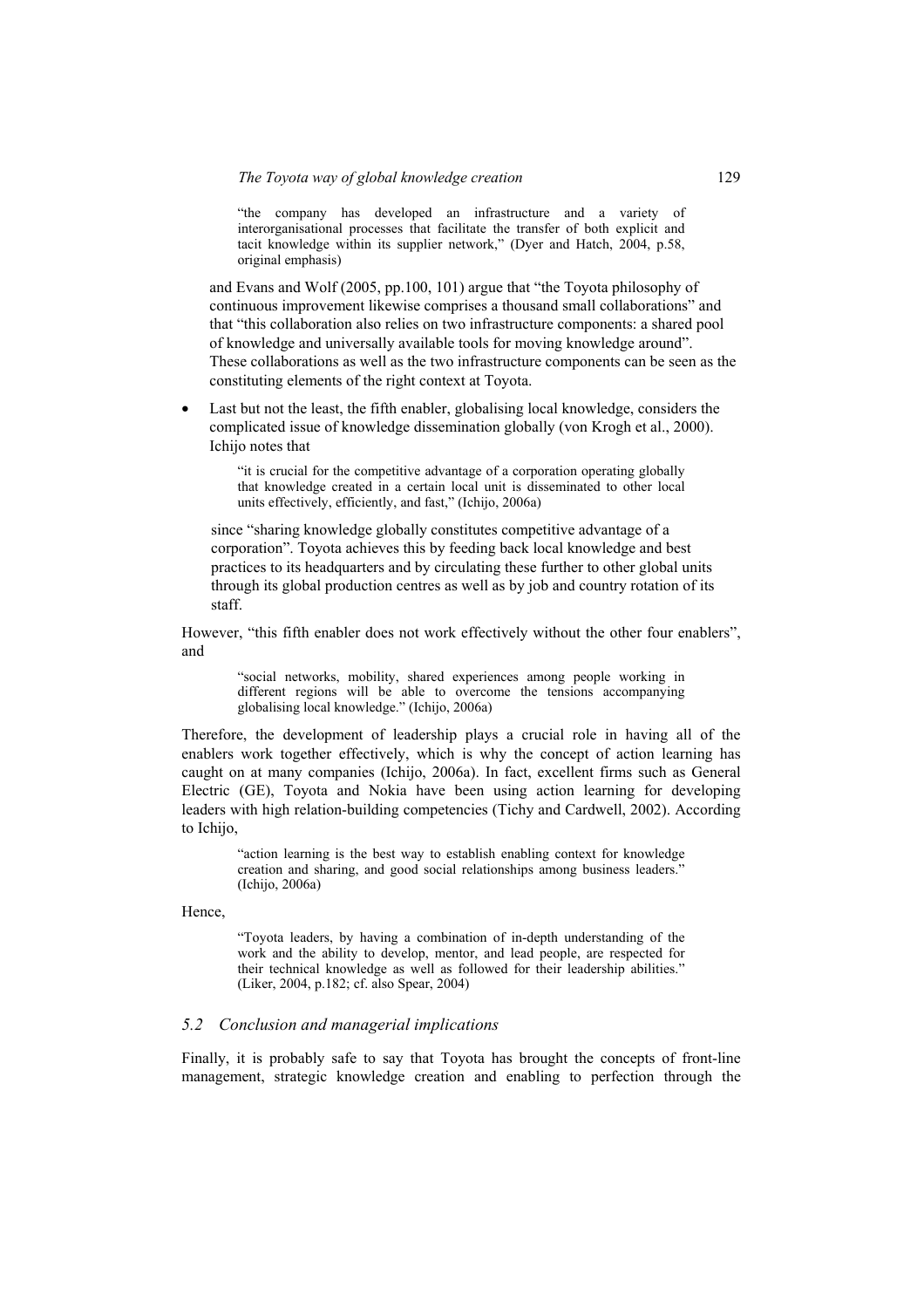"the company has developed an infrastructure and a variety of interorganisational processes that facilitate the transfer of both explicit and tacit knowledge within its supplier network," (Dyer and Hatch, 2004, p.58, original emphasis)

and Evans and Wolf (2005, pp.100, 101) argue that "the Toyota philosophy of continuous improvement likewise comprises a thousand small collaborations" and that "this collaboration also relies on two infrastructure components: a shared pool of knowledge and universally available tools for moving knowledge around". These collaborations as well as the two infrastructure components can be seen as the constituting elements of the right context at Toyota.

Last but not the least, the fifth enabler, globalising local knowledge, considers the complicated issue of knowledge dissemination globally (von Krogh et al., 2000). Ichijo notes that

> "it is crucial for the competitive advantage of a corporation operating globally that knowledge created in a certain local unit is disseminated to other local units effectively, efficiently, and fast," (Ichijo, 2006a)

since "sharing knowledge globally constitutes competitive advantage of a corporation". Toyota achieves this by feeding back local knowledge and best practices to its headquarters and by circulating these further to other global units through its global production centres as well as by job and country rotation of its staff.

However, "this fifth enabler does not work effectively without the other four enablers", and

> "social networks, mobility, shared experiences among people working in different regions will be able to overcome the tensions accompanying globalising local knowledge." (Ichijo, 2006a)

Therefore, the development of leadership plays a crucial role in having all of the enablers work together effectively, which is why the concept of action learning has caught on at many companies (Ichijo, 2006a). In fact, excellent firms such as General Electric (GE), Toyota and Nokia have been using action learning for developing leaders with high relation-building competencies (Tichy and Cardwell, 2002). According to Ichijo.

"action learning is the best way to establish enabling context for knowledge creation and sharing, and good social relationships among business leaders." (Ichijo, 2006a)

**Hence** 

"Toyota leaders, by having a combination of in-depth understanding of the work and the ability to develop, mentor, and lead people, are respected for their technical knowledge as well as followed for their leadership abilities." (Liker, 2004, p.182; cf. also Spear, 2004)

#### *5.2 Conclusion and managerial implications*

Finally, it is probably safe to say that Toyota has brought the concepts of front-line management, strategic knowledge creation and enabling to perfection through the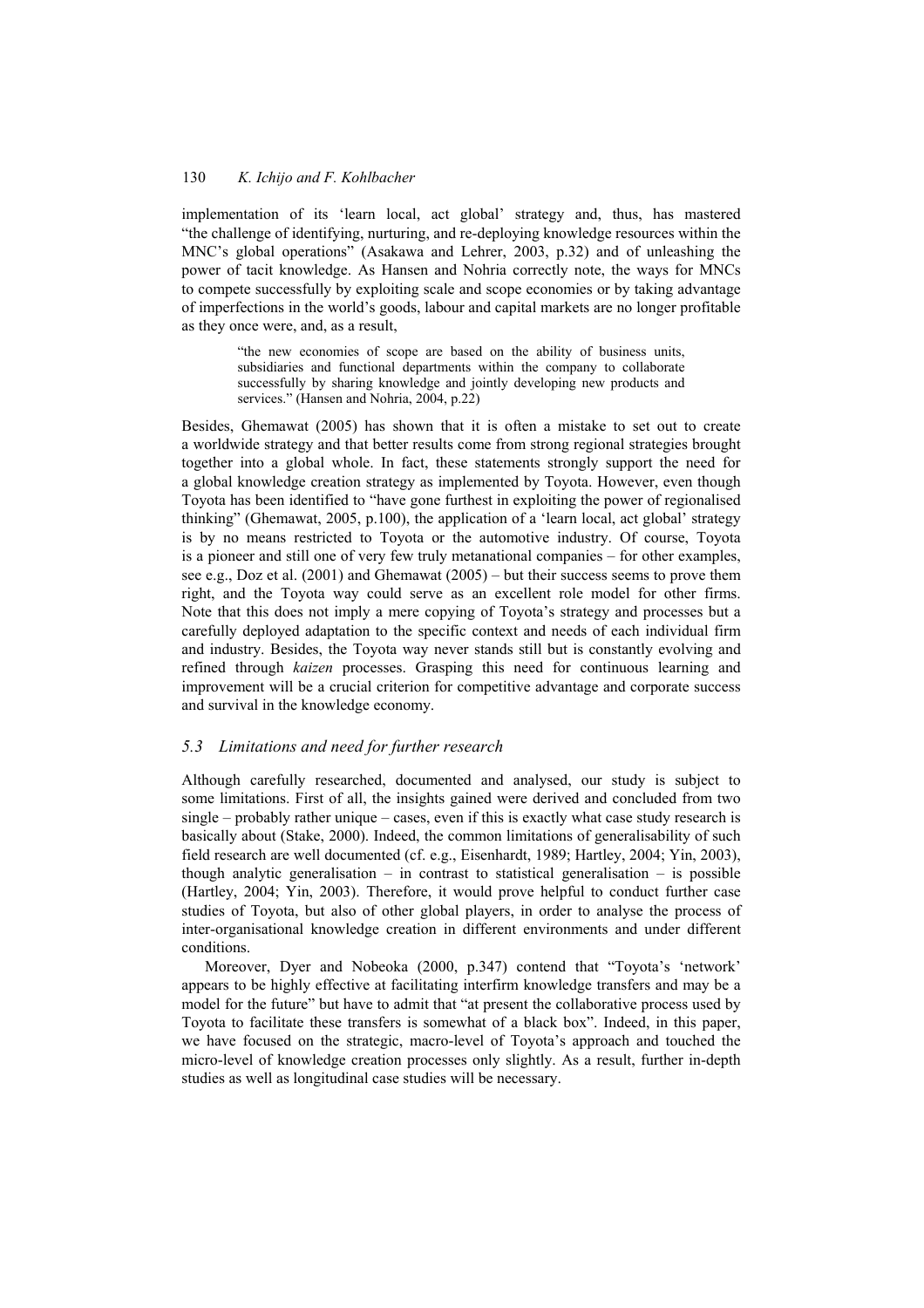implementation of its 'learn local, act global' strategy and, thus, has mastered "the challenge of identifying, nurturing, and re-deploying knowledge resources within the MNC's global operations" (Asakawa and Lehrer, 2003, p.32) and of unleashing the power of tacit knowledge. As Hansen and Nohria correctly note, the ways for MNCs to compete successfully by exploiting scale and scope economies or by taking advantage of imperfections in the world's goods, labour and capital markets are no longer profitable as they once were, and, as a result,

"the new economies of scope are based on the ability of business units, subsidiaries and functional departments within the company to collaborate successfully by sharing knowledge and jointly developing new products and services." (Hansen and Nohria, 2004, p.22)

Besides, Ghemawat (2005) has shown that it is often a mistake to set out to create a worldwide strategy and that better results come from strong regional strategies brought together into a global whole. In fact, these statements strongly support the need for a global knowledge creation strategy as implemented by Toyota. However, even though Toyota has been identified to "have gone furthest in exploiting the power of regionalised thinking" (Ghemawat, 2005, p.100), the application of a 'learn local, act global' strategy is by no means restricted to Toyota or the automotive industry. Of course, Toyota is a pioneer and still one of very few truly metanational companies – for other examples, see e.g., Doz et al. (2001) and Ghemawat (2005) – but their success seems to prove them right, and the Toyota way could serve as an excellent role model for other firms. Note that this does not imply a mere copying of Toyota's strategy and processes but a carefully deployed adaptation to the specific context and needs of each individual firm and industry. Besides, the Toyota way never stands still but is constantly evolving and refined through *kaizen* processes. Grasping this need for continuous learning and improvement will be a crucial criterion for competitive advantage and corporate success and survival in the knowledge economy.

## *5.3 Limitations and need for further research*

Although carefully researched, documented and analysed, our study is subject to some limitations. First of all, the insights gained were derived and concluded from two single – probably rather unique – cases, even if this is exactly what case study research is basically about (Stake, 2000). Indeed, the common limitations of generalisability of such field research are well documented (cf. e.g., Eisenhardt, 1989; Hartley, 2004; Yin, 2003), though analytic generalisation – in contrast to statistical generalisation – is possible (Hartley, 2004; Yin, 2003). Therefore, it would prove helpful to conduct further case studies of Toyota, but also of other global players, in order to analyse the process of inter-organisational knowledge creation in different environments and under different conditions.

Moreover, Dyer and Nobeoka (2000, p.347) contend that "Toyota's 'network' appears to be highly effective at facilitating interfirm knowledge transfers and may be a model for the future" but have to admit that "at present the collaborative process used by Toyota to facilitate these transfers is somewhat of a black box". Indeed, in this paper, we have focused on the strategic, macro-level of Toyota's approach and touched the micro-level of knowledge creation processes only slightly. As a result, further in-depth studies as well as longitudinal case studies will be necessary.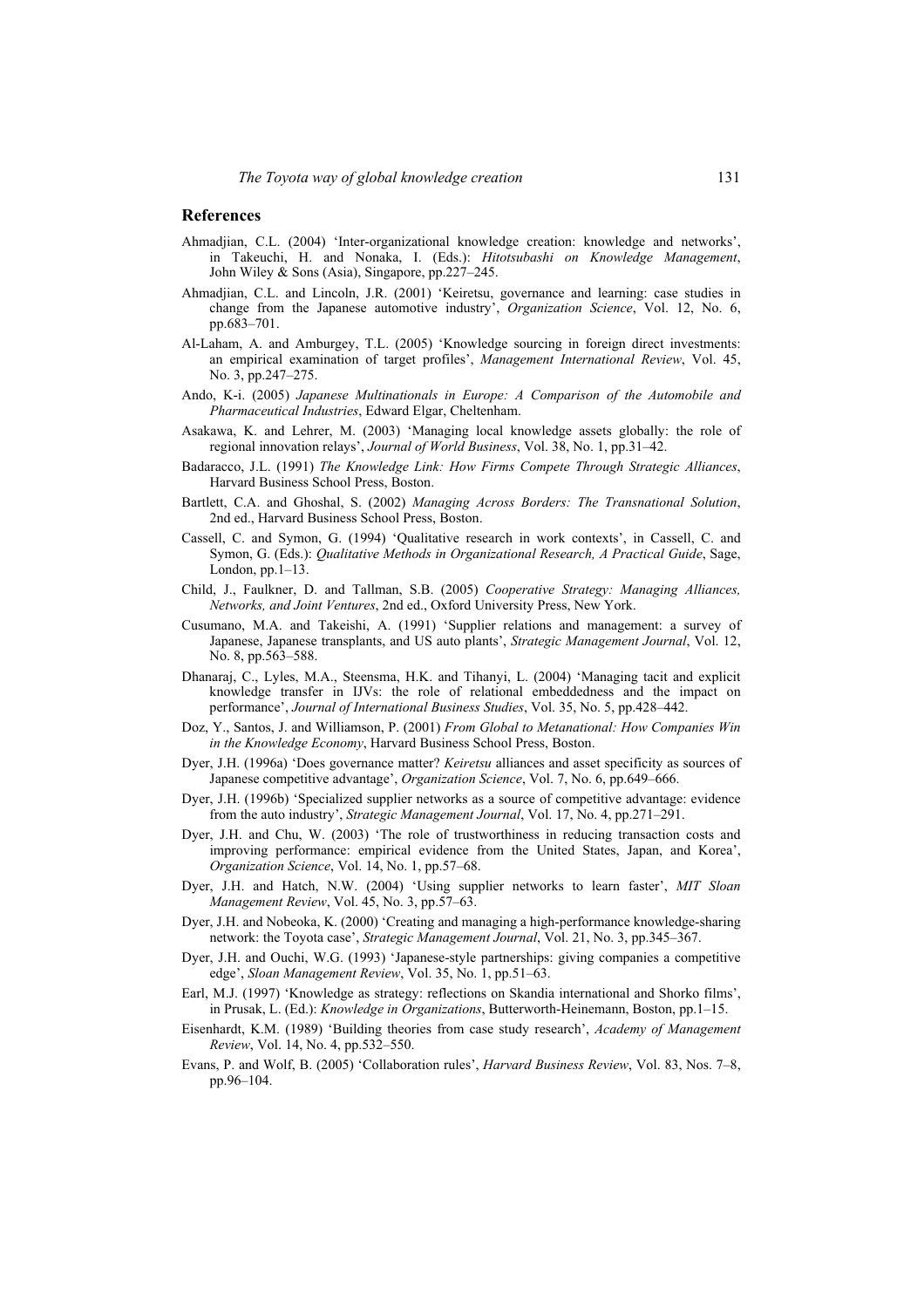#### **References**

- Ahmadjian, C.L. (2004) 'Inter-organizational knowledge creation: knowledge and networks', in Takeuchi, H. and Nonaka, I. (Eds.): *Hitotsubashi on Knowledge Management*, John Wiley & Sons (Asia), Singapore, pp.227–245.
- Ahmadjian, C.L. and Lincoln, J.R. (2001) 'Keiretsu, governance and learning: case studies in change from the Japanese automotive industry', *Organization Science*, Vol. 12, No. 6, pp.683–701.
- Al-Laham, A. and Amburgey, T.L. (2005) 'Knowledge sourcing in foreign direct investments: an empirical examination of target profiles', *Management International Review*, Vol. 45, No. 3, pp.247–275.
- Ando, K-i. (2005) *Japanese Multinationals in Europe: A Comparison of the Automobile and Pharmaceutical Industries*, Edward Elgar, Cheltenham.
- Asakawa, K. and Lehrer, M. (2003) 'Managing local knowledge assets globally: the role of regional innovation relays', *Journal of World Business*, Vol. 38, No. 1, pp.31–42.
- Badaracco, J.L. (1991) *The Knowledge Link: How Firms Compete Through Strategic Alliances*, Harvard Business School Press, Boston.
- Bartlett, C.A. and Ghoshal, S. (2002) *Managing Across Borders: The Transnational Solution*, 2nd ed., Harvard Business School Press, Boston.
- Cassell, C. and Symon, G. (1994) 'Qualitative research in work contexts', in Cassell, C. and Symon, G. (Eds.): *Qualitative Methods in Organizational Research, A Practical Guide*, Sage, London, pp.1–13.
- Child, J., Faulkner, D. and Tallman, S.B. (2005) *Cooperative Strategy: Managing Alliances, Networks, and Joint Ventures*, 2nd ed., Oxford University Press, New York.
- Cusumano, M.A. and Takeishi, A. (1991) 'Supplier relations and management: a survey of Japanese, Japanese transplants, and US auto plants', *Strategic Management Journal*, Vol. 12, No. 8, pp.563–588.
- Dhanaraj, C., Lyles, M.A., Steensma, H.K. and Tihanyi, L. (2004) 'Managing tacit and explicit knowledge transfer in IJVs: the role of relational embeddedness and the impact on performance', *Journal of International Business Studies*, Vol. 35, No. 5, pp.428–442.
- Doz, Y., Santos, J. and Williamson, P. (2001) *From Global to Metanational: How Companies Win in the Knowledge Economy*, Harvard Business School Press, Boston.
- Dyer, J.H. (1996a) 'Does governance matter? *Keiretsu* alliances and asset specificity as sources of Japanese competitive advantage', *Organization Science*, Vol. 7, No. 6, pp.649–666.
- Dyer, J.H. (1996b) 'Specialized supplier networks as a source of competitive advantage: evidence from the auto industry', *Strategic Management Journal*, Vol. 17, No. 4, pp.271–291.
- Dyer, J.H. and Chu, W. (2003) 'The role of trustworthiness in reducing transaction costs and improving performance: empirical evidence from the United States, Japan, and Korea', *Organization Science*, Vol. 14, No. 1, pp.57–68.
- Dyer, J.H. and Hatch, N.W. (2004) 'Using supplier networks to learn faster', *MIT Sloan Management Review*, Vol. 45, No. 3, pp.57–63.
- Dyer, J.H. and Nobeoka, K. (2000) 'Creating and managing a high-performance knowledge-sharing network: the Toyota case', *Strategic Management Journal*, Vol. 21, No. 3, pp.345–367.
- Dyer, J.H. and Ouchi, W.G. (1993) 'Japanese-style partnerships: giving companies a competitive edge', *Sloan Management Review*, Vol. 35, No. 1, pp.51–63.
- Earl, M.J. (1997) 'Knowledge as strategy: reflections on Skandia international and Shorko films', in Prusak, L. (Ed.): *Knowledge in Organizations*, Butterworth-Heinemann, Boston, pp.1–15.
- Eisenhardt, K.M. (1989) 'Building theories from case study research', *Academy of Management Review*, Vol. 14, No. 4, pp.532–550.
- Evans, P. and Wolf, B. (2005) 'Collaboration rules', *Harvard Business Review*, Vol. 83, Nos. 7–8, pp.96–104.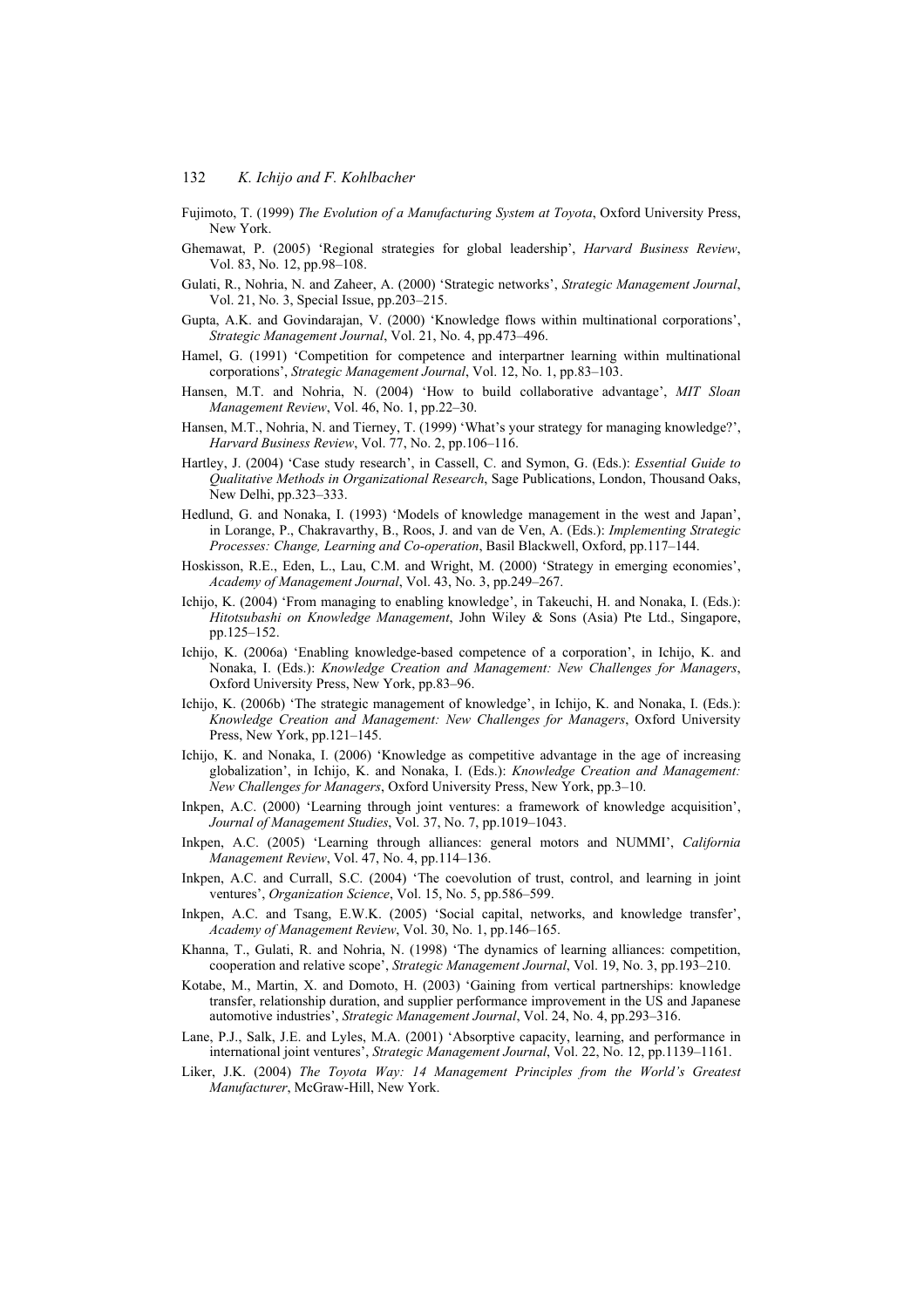- Fujimoto, T. (1999) *The Evolution of a Manufacturing System at Toyota*, Oxford University Press, New York.
- Ghemawat, P. (2005) 'Regional strategies for global leadership', *Harvard Business Review*, Vol. 83, No. 12, pp.98–108.
- Gulati, R., Nohria, N. and Zaheer, A. (2000) 'Strategic networks', *Strategic Management Journal*, Vol. 21, No. 3, Special Issue, pp.203–215.
- Gupta, A.K. and Govindarajan, V. (2000) 'Knowledge flows within multinational corporations', *Strategic Management Journal*, Vol. 21, No. 4, pp.473–496.
- Hamel, G. (1991) 'Competition for competence and interpartner learning within multinational corporations', *Strategic Management Journal*, Vol. 12, No. 1, pp.83–103.
- Hansen, M.T. and Nohria, N. (2004) 'How to build collaborative advantage', *MIT Sloan Management Review*, Vol. 46, No. 1, pp.22–30.
- Hansen, M.T., Nohria, N. and Tierney, T. (1999) 'What's your strategy for managing knowledge?', *Harvard Business Review*, Vol. 77, No. 2, pp.106–116.
- Hartley, J. (2004) 'Case study research', in Cassell, C. and Symon, G. (Eds.): *Essential Guide to Qualitative Methods in Organizational Research*, Sage Publications, London, Thousand Oaks, New Delhi, pp.323–333.
- Hedlund, G. and Nonaka, I. (1993) 'Models of knowledge management in the west and Japan', in Lorange, P., Chakravarthy, B., Roos, J. and van de Ven, A. (Eds.): *Implementing Strategic Processes: Change, Learning and Co-operation*, Basil Blackwell, Oxford, pp.117–144.
- Hoskisson, R.E., Eden, L., Lau, C.M. and Wright, M. (2000) 'Strategy in emerging economies', *Academy of Management Journal*, Vol. 43, No. 3, pp.249–267.
- Ichijo, K. (2004) 'From managing to enabling knowledge', in Takeuchi, H. and Nonaka, I. (Eds.): *Hitotsubashi on Knowledge Management*, John Wiley & Sons (Asia) Pte Ltd., Singapore, pp.125–152.
- Ichijo, K. (2006a) 'Enabling knowledge-based competence of a corporation', in Ichijo, K. and Nonaka, I. (Eds.): *Knowledge Creation and Management: New Challenges for Managers*, Oxford University Press, New York, pp.83–96.
- Ichijo, K. (2006b) 'The strategic management of knowledge', in Ichijo, K. and Nonaka, I. (Eds.): *Knowledge Creation and Management: New Challenges for Managers*, Oxford University Press, New York, pp.121–145.
- Ichijo, K. and Nonaka, I. (2006) 'Knowledge as competitive advantage in the age of increasing globalization', in Ichijo, K. and Nonaka, I. (Eds.): *Knowledge Creation and Management: New Challenges for Managers*, Oxford University Press, New York, pp.3–10.
- Inkpen, A.C. (2000) 'Learning through joint ventures: a framework of knowledge acquisition', *Journal of Management Studies*, Vol. 37, No. 7, pp.1019–1043.
- Inkpen, A.C. (2005) 'Learning through alliances: general motors and NUMMI', *California Management Review*, Vol. 47, No. 4, pp.114–136.
- Inkpen, A.C. and Currall, S.C. (2004) 'The coevolution of trust, control, and learning in joint ventures', *Organization Science*, Vol. 15, No. 5, pp.586–599.
- Inkpen, A.C. and Tsang, E.W.K. (2005) 'Social capital, networks, and knowledge transfer', *Academy of Management Review*, Vol. 30, No. 1, pp.146–165.
- Khanna, T., Gulati, R. and Nohria, N. (1998) 'The dynamics of learning alliances: competition, cooperation and relative scope', *Strategic Management Journal*, Vol. 19, No. 3, pp.193–210.
- Kotabe, M., Martin, X. and Domoto, H. (2003) 'Gaining from vertical partnerships: knowledge transfer, relationship duration, and supplier performance improvement in the US and Japanese automotive industries', *Strategic Management Journal*, Vol. 24, No. 4, pp.293–316.
- Lane, P.J., Salk, J.E. and Lyles, M.A. (2001) 'Absorptive capacity, learning, and performance in international joint ventures', *Strategic Management Journal*, Vol. 22, No. 12, pp.1139–1161.
- Liker, J.K. (2004) *The Toyota Way: 14 Management Principles from the World's Greatest Manufacturer*, McGraw-Hill, New York.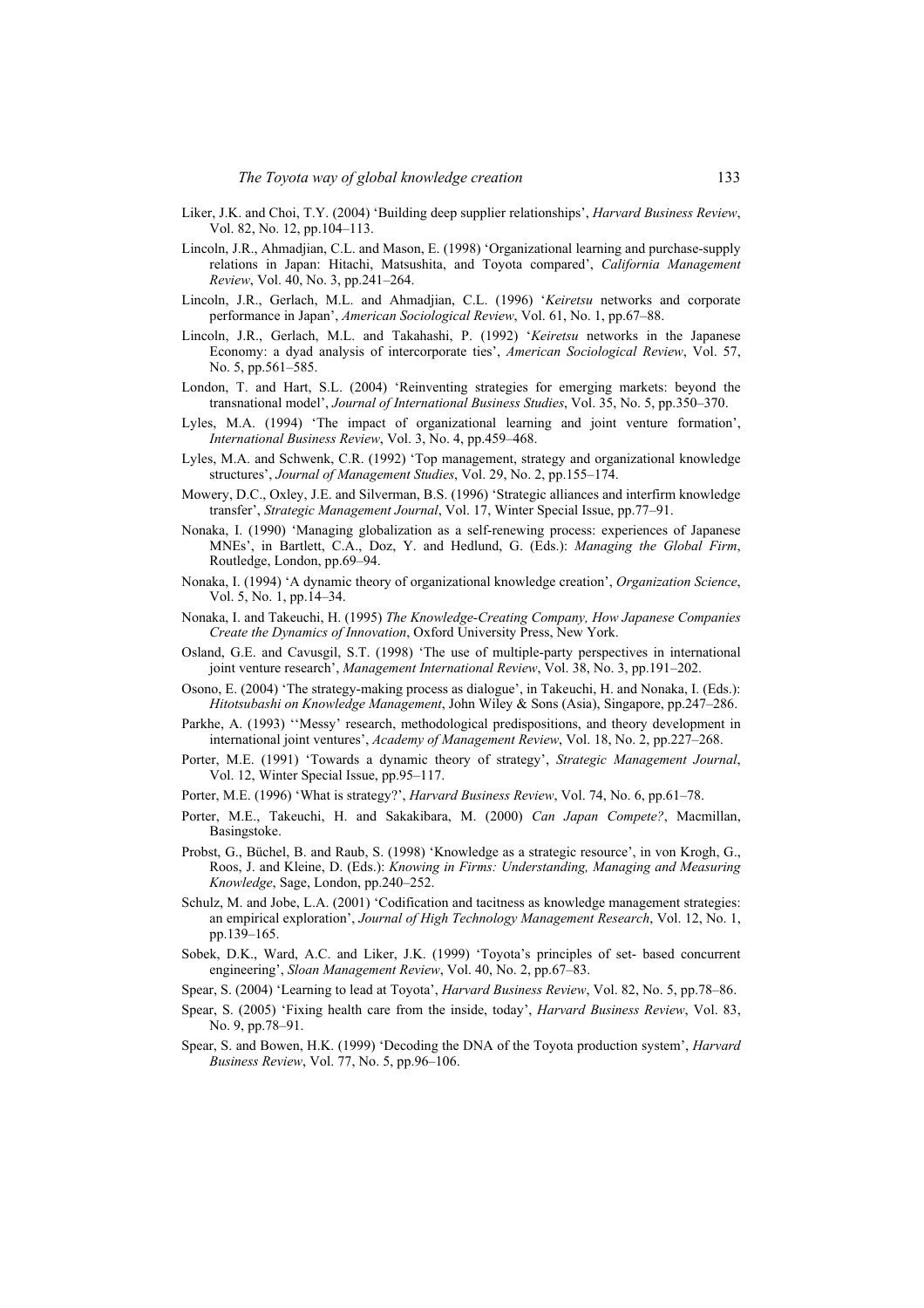- Liker, J.K. and Choi, T.Y. (2004) 'Building deep supplier relationships', *Harvard Business Review*, Vol. 82, No. 12, pp.104–113.
- Lincoln, J.R., Ahmadjian, C.L. and Mason, E. (1998) 'Organizational learning and purchase-supply relations in Japan: Hitachi, Matsushita, and Toyota compared', *California Management Review*, Vol. 40, No. 3, pp.241–264.
- Lincoln, J.R., Gerlach, M.L. and Ahmadjian, C.L. (1996) '*Keiretsu* networks and corporate performance in Japan', *American Sociological Review*, Vol. 61, No. 1, pp.67–88.
- Lincoln, J.R., Gerlach, M.L. and Takahashi, P. (1992) '*Keiretsu* networks in the Japanese Economy: a dyad analysis of intercorporate ties', *American Sociological Review*, Vol. 57, No. 5, pp.561–585.
- London, T. and Hart, S.L. (2004) 'Reinventing strategies for emerging markets: beyond the transnational model', *Journal of International Business Studies*, Vol. 35, No. 5, pp.350–370.
- Lyles, M.A. (1994) 'The impact of organizational learning and joint venture formation', *International Business Review*, Vol. 3, No. 4, pp.459–468.
- Lyles, M.A. and Schwenk, C.R. (1992) 'Top management, strategy and organizational knowledge structures', *Journal of Management Studies*, Vol. 29, No. 2, pp.155–174.
- Mowery, D.C., Oxley, J.E. and Silverman, B.S. (1996) 'Strategic alliances and interfirm knowledge transfer', *Strategic Management Journal*, Vol. 17, Winter Special Issue, pp.77–91.
- Nonaka, I. (1990) 'Managing globalization as a self-renewing process: experiences of Japanese MNEs', in Bartlett, C.A., Doz, Y. and Hedlund, G. (Eds.): *Managing the Global Firm*, Routledge, London, pp.69–94.
- Nonaka, I. (1994) 'A dynamic theory of organizational knowledge creation', *Organization Science*, Vol. 5, No. 1, pp.14–34.
- Nonaka, I. and Takeuchi, H. (1995) *The Knowledge-Creating Company, How Japanese Companies Create the Dynamics of Innovation*, Oxford University Press, New York.
- Osland, G.E. and Cavusgil, S.T. (1998) 'The use of multiple-party perspectives in international joint venture research', *Management International Review*, Vol. 38, No. 3, pp.191–202.
- Osono, E. (2004) 'The strategy-making process as dialogue', in Takeuchi, H. and Nonaka, I. (Eds.): *Hitotsubashi on Knowledge Management*, John Wiley & Sons (Asia), Singapore, pp.247–286.
- Parkhe, A. (1993) ''Messy' research, methodological predispositions, and theory development in international joint ventures', *Academy of Management Review*, Vol. 18, No. 2, pp.227–268.
- Porter, M.E. (1991) 'Towards a dynamic theory of strategy', *Strategic Management Journal*, Vol. 12, Winter Special Issue, pp.95–117.
- Porter, M.E. (1996) 'What is strategy?', *Harvard Business Review*, Vol. 74, No. 6, pp.61–78.
- Porter, M.E., Takeuchi, H. and Sakakibara, M. (2000) *Can Japan Compete?*, Macmillan, Basingstoke.
- Probst, G., Büchel, B. and Raub, S. (1998) 'Knowledge as a strategic resource', in von Krogh, G., Roos, J. and Kleine, D. (Eds.): *Knowing in Firms: Understanding, Managing and Measuring Knowledge*, Sage, London, pp.240–252.
- Schulz, M. and Jobe, L.A. (2001) 'Codification and tacitness as knowledge management strategies: an empirical exploration', *Journal of High Technology Management Research*, Vol. 12, No. 1, pp.139–165.
- Sobek, D.K., Ward, A.C. and Liker, J.K. (1999) 'Toyota's principles of set- based concurrent engineering', *Sloan Management Review*, Vol. 40, No. 2, pp.67–83.
- Spear, S. (2004) 'Learning to lead at Toyota', *Harvard Business Review*, Vol. 82, No. 5, pp.78–86.
- Spear, S. (2005) 'Fixing health care from the inside, today', *Harvard Business Review*, Vol. 83, No. 9, pp.78–91.
- Spear, S. and Bowen, H.K. (1999) 'Decoding the DNA of the Toyota production system', *Harvard Business Review*, Vol. 77, No. 5, pp.96–106.